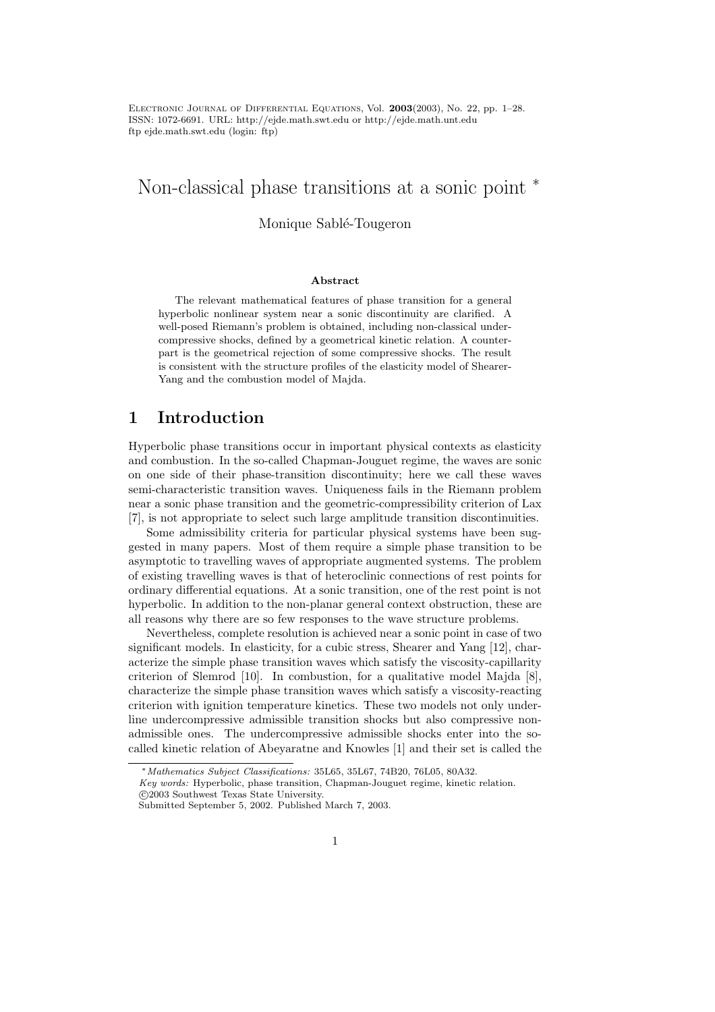ELECTRONIC JOURNAL OF DIFFERENTIAL EQUATIONS, Vol. 2003(2003), No. 22, pp. 1–28. ISSN: 1072-6691. URL: http://ejde.math.swt.edu or http://ejde.math.unt.edu ftp ejde.math.swt.edu (login: ftp)

# Non-classical phase transitions at a sonic point <sup>∗</sup>

## Monique Sablé-Tougeron

#### Abstract

The relevant mathematical features of phase transition for a general hyperbolic nonlinear system near a sonic discontinuity are clarified. A well-posed Riemann's problem is obtained, including non-classical undercompressive shocks, defined by a geometrical kinetic relation. A counterpart is the geometrical rejection of some compressive shocks. The result is consistent with the structure profiles of the elasticity model of Shearer-Yang and the combustion model of Majda.

# 1 Introduction

Hyperbolic phase transitions occur in important physical contexts as elasticity and combustion. In the so-called Chapman-Jouguet regime, the waves are sonic on one side of their phase-transition discontinuity; here we call these waves semi-characteristic transition waves. Uniqueness fails in the Riemann problem near a sonic phase transition and the geometric-compressibility criterion of Lax [7], is not appropriate to select such large amplitude transition discontinuities.

Some admissibility criteria for particular physical systems have been suggested in many papers. Most of them require a simple phase transition to be asymptotic to travelling waves of appropriate augmented systems. The problem of existing travelling waves is that of heteroclinic connections of rest points for ordinary differential equations. At a sonic transition, one of the rest point is not hyperbolic. In addition to the non-planar general context obstruction, these are all reasons why there are so few responses to the wave structure problems.

Nevertheless, complete resolution is achieved near a sonic point in case of two significant models. In elasticity, for a cubic stress, Shearer and Yang [12], characterize the simple phase transition waves which satisfy the viscosity-capillarity criterion of Slemrod [10]. In combustion, for a qualitative model Majda [8], characterize the simple phase transition waves which satisfy a viscosity-reacting criterion with ignition temperature kinetics. These two models not only underline undercompressive admissible transition shocks but also compressive nonadmissible ones. The undercompressive admissible shocks enter into the socalled kinetic relation of Abeyaratne and Knowles [1] and their set is called the

<sup>∗</sup>Mathematics Subject Classifications: 35L65, 35L67, 74B20, 76L05, 80A32.

Key words: Hyperbolic, phase transition, Chapman-Jouguet regime, kinetic relation. c 2003 Southwest Texas State University.

Submitted September 5, 2002. Published March 7, 2003.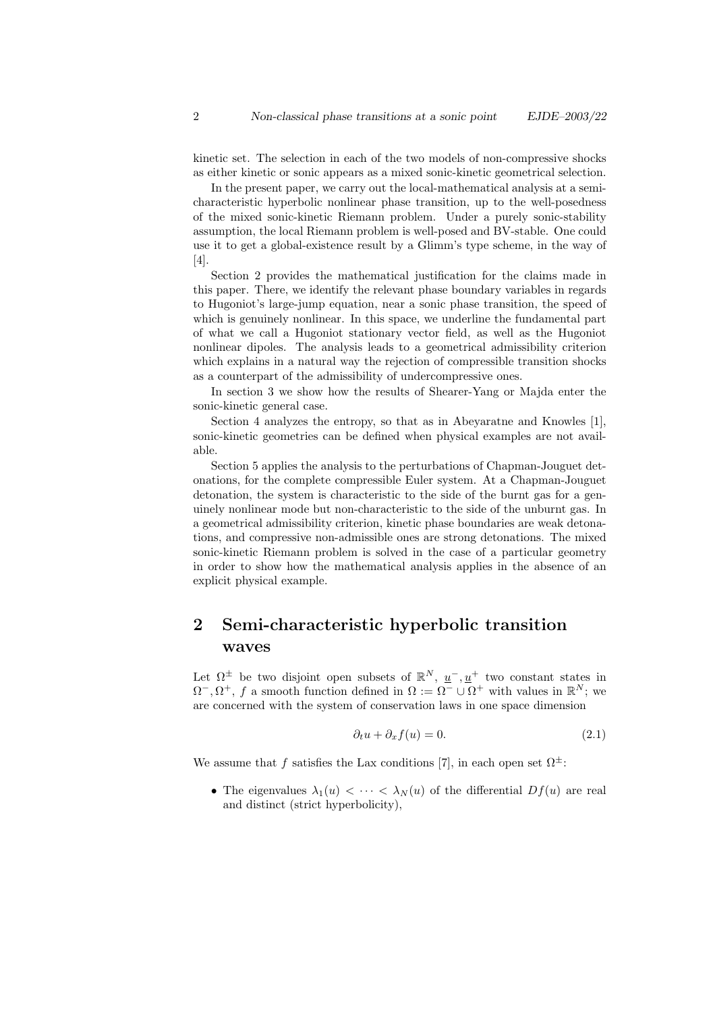kinetic set. The selection in each of the two models of non-compressive shocks as either kinetic or sonic appears as a mixed sonic-kinetic geometrical selection.

In the present paper, we carry out the local-mathematical analysis at a semicharacteristic hyperbolic nonlinear phase transition, up to the well-posedness of the mixed sonic-kinetic Riemann problem. Under a purely sonic-stability assumption, the local Riemann problem is well-posed and BV-stable. One could use it to get a global-existence result by a Glimm's type scheme, in the way of [4].

Section 2 provides the mathematical justification for the claims made in this paper. There, we identify the relevant phase boundary variables in regards to Hugoniot's large-jump equation, near a sonic phase transition, the speed of which is genuinely nonlinear. In this space, we underline the fundamental part of what we call a Hugoniot stationary vector field, as well as the Hugoniot nonlinear dipoles. The analysis leads to a geometrical admissibility criterion which explains in a natural way the rejection of compressible transition shocks as a counterpart of the admissibility of undercompressive ones.

In section 3 we show how the results of Shearer-Yang or Majda enter the sonic-kinetic general case.

Section 4 analyzes the entropy, so that as in Abeyaratne and Knowles [1], sonic-kinetic geometries can be defined when physical examples are not available.

Section 5 applies the analysis to the perturbations of Chapman-Jouguet detonations, for the complete compressible Euler system. At a Chapman-Jouguet detonation, the system is characteristic to the side of the burnt gas for a genuinely nonlinear mode but non-characteristic to the side of the unburnt gas. In a geometrical admissibility criterion, kinetic phase boundaries are weak detonations, and compressive non-admissible ones are strong detonations. The mixed sonic-kinetic Riemann problem is solved in the case of a particular geometry in order to show how the mathematical analysis applies in the absence of an explicit physical example.

# 2 Semi-characteristic hyperbolic transition waves

Let  $\Omega^{\pm}$  be two disjoint open subsets of  $\mathbb{R}^{N}$ ,  $\underline{u}^{-}$ ,  $\underline{u}^{+}$  two constant states in  $\Omega^-, \Omega^+, f$  a smooth function defined in  $\Omega := \Omega^- \cup \Omega^+$  with values in  $\mathbb{R}^N$ ; we are concerned with the system of conservation laws in one space dimension

$$
\partial_t u + \partial_x f(u) = 0. \tag{2.1}
$$

We assume that f satisfies the Lax conditions [7], in each open set  $\Omega^{\pm}$ :

• The eigenvalues  $\lambda_1(u) < \cdots < \lambda_N(u)$  of the differential  $Df(u)$  are real and distinct (strict hyperbolicity),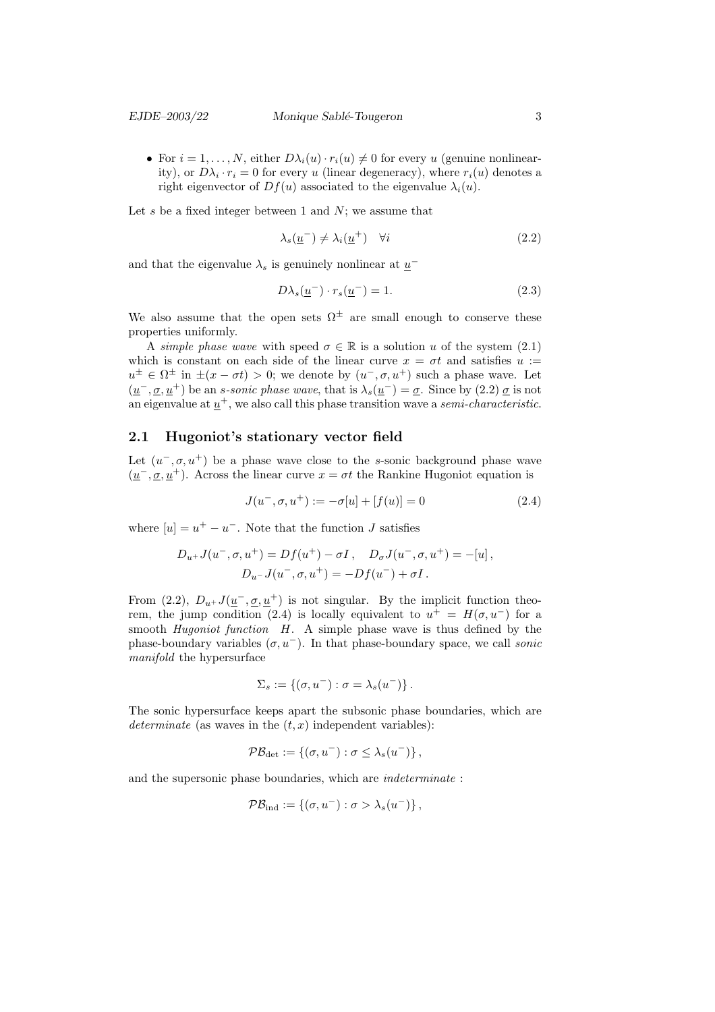• For  $i = 1, ..., N$ , either  $D\lambda_i(u) \cdot r_i(u) \neq 0$  for every u (genuine nonlinearity), or  $D\lambda_i \cdot r_i = 0$  for every u (linear degeneracy), where  $r_i(u)$  denotes a right eigenvector of  $Df(u)$  associated to the eigenvalue  $\lambda_i(u)$ .

Let  $s$  be a fixed integer between 1 and  $N$ ; we assume that

$$
\lambda_s(\underline{u}^-) \neq \lambda_i(\underline{u}^+) \quad \forall i \tag{2.2}
$$

and that the eigenvalue  $\lambda_s$  is genuinely nonlinear at  $\underline{u}^-$ 

$$
D\lambda_s(\underline{u}^-) \cdot r_s(\underline{u}^-) = 1. \tag{2.3}
$$

We also assume that the open sets  $\Omega^{\pm}$  are small enough to conserve these properties uniformly.

A simple phase wave with speed  $\sigma \in \mathbb{R}$  is a solution u of the system (2.1) which is constant on each side of the linear curve  $x = \sigma t$  and satisfies  $u :=$  $u^{\pm} \in \Omega^{\pm}$  in  $\pm (x - \sigma t) > 0$ ; we denote by  $(u^-, \sigma, u^+)$  such a phase wave. Let  $(\underline{u}^-, \underline{\sigma}, \underline{u}^+)$  be an *s*-sonic phase wave, that is  $\lambda_s(\underline{u}^-) = \underline{\sigma}$ . Since by (2.2)  $\underline{\sigma}$  is not an eigenvalue at  $\underline{u}^+$ , we also call this phase transition wave a *semi-characteristic*.

### 2.1 Hugoniot's stationary vector field

Let  $(u^-, \sigma, u^+)$  be a phase wave close to the s-sonic background phase wave  $(\underline{u}^-, \underline{\sigma}, \underline{u}^+)$ . Across the linear curve  $x = \sigma t$  the Rankine Hugoniot equation is

$$
J(u^-, \sigma, u^+) := -\sigma[u] + [f(u)] = 0 \tag{2.4}
$$

where  $[u] = u^+ - u^-$ . Note that the function J satisfies

$$
D_{u^{+}}J(u^{-}, \sigma, u^{+}) = Df(u^{+}) - \sigma I, \quad D_{\sigma}J(u^{-}, \sigma, u^{+}) = -[u],
$$
  

$$
D_{u^{-}}J(u^{-}, \sigma, u^{+}) = -Df(u^{-}) + \sigma I.
$$

From (2.2),  $D_{u}$ + $J(\underline{u}^-,\underline{\sigma},\underline{u}^+)$  is not singular. By the implicit function theorem, the jump condition (2.4) is locally equivalent to  $u^+ = H(\sigma, u^-)$  for a smooth *Hugoniot function*  $H$ . A simple phase wave is thus defined by the phase-boundary variables  $(\sigma, u^-)$ . In that phase-boundary space, we call *sonic* manifold the hypersurface

$$
\Sigma_s := \{ (\sigma, u^-) : \sigma = \lambda_s(u^-) \}.
$$

The sonic hypersurface keeps apart the subsonic phase boundaries, which are determinate (as waves in the  $(t, x)$  independent variables):

$$
\mathcal{PB}_{\det} := \{ (\sigma, u^-) : \sigma \leq \lambda_s(u^-) \},
$$

and the supersonic phase boundaries, which are *indeterminate*:

$$
\mathcal{PB}_{\text{ind}} := \{ (\sigma, u^-) : \sigma > \lambda_s(u^-) \},
$$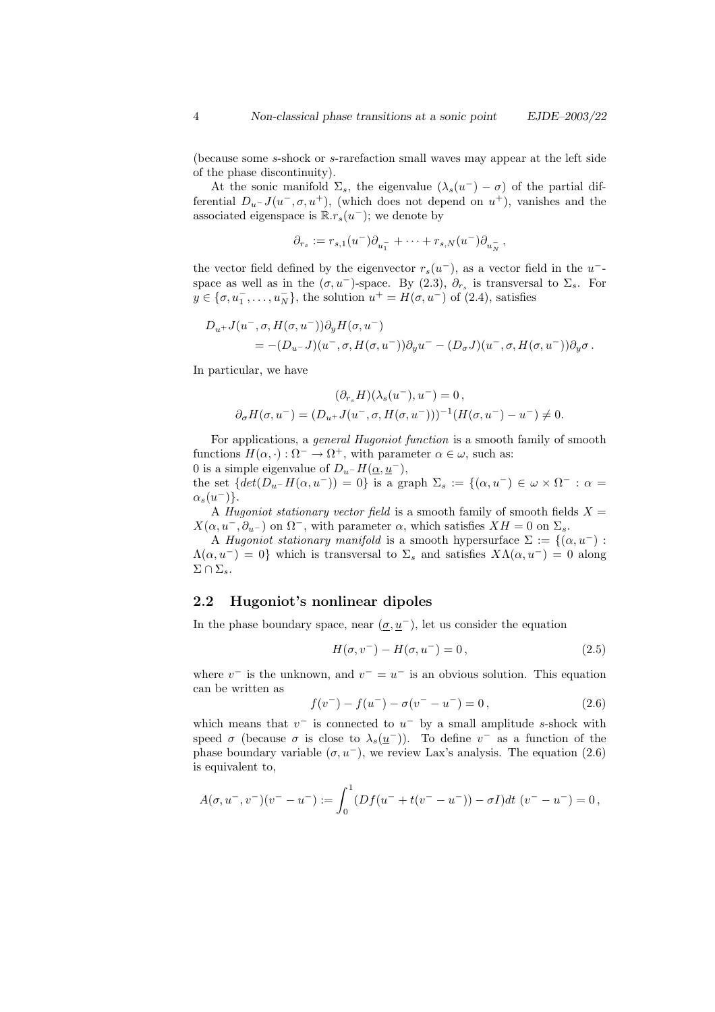(because some s-shock or s-rarefaction small waves may appear at the left side of the phase discontinuity).

At the sonic manifold  $\Sigma_s$ , the eigenvalue  $(\lambda_s(u^-) - \sigma)$  of the partial differential  $D_u$ - $J(u^-, \sigma, u^+)$ , (which does not depend on  $u^+$ ), vanishes and the associated eigenspace is  $\mathbb{R}.r_s(u^-)$ ; we denote by

$$
\partial_{r_s} := r_{s,1}(u^-) \partial_{u_1^-} + \cdots + r_{s,N}(u^-) \partial_{u_N^-},
$$

the vector field defined by the eigenvector  $r_s(u^-)$ , as a vector field in the  $u^$ space as well as in the  $(\sigma, u^-)$ -space. By (2.3),  $\partial_{r_s}$  is transversal to  $\Sigma_s$ . For  $y \in {\sigma, u_1^-, \ldots, u_N^-\}$ , the solution  $u^+ = H(\sigma, u^-)$  of (2.4), satisfies

$$
D_{u^+}J(u^-, \sigma, H(\sigma, u^-))\partial_y H(\sigma, u^-)
$$
  
= - (D\_{u^-}J)(u^-, \sigma, H(\sigma, u^-))\partial\_y u^- - (D\_{\sigma}J)(u^-, \sigma, H(\sigma, u^-))\partial\_y \sigma.

In particular, we have

$$
(\partial_{r_s}H)(\lambda_s(u^-), u^-) = 0,
$$
  

$$
\partial_{\sigma}H(\sigma, u^-) = (D_{u^+}J(u^-,\sigma, H(\sigma, u^-)))^{-1}(H(\sigma, u^-) - u^-) \neq 0.
$$

For applications, a general Hugoniot function is a smooth family of smooth functions  $H(\alpha, \cdot): \Omega^- \to \Omega^+$ , with parameter  $\alpha \in \omega$ , such as:

0 is a simple eigenvalue of  $D_{u^-}H(\alpha, u^-)$ , the set  $\{det(D_u-H(\alpha, u^-))=0\}$  is a graph  $\Sigma_s := \{(\alpha, u^-) \in \omega \times \Omega^- : \alpha =$  $\alpha_s(u^-)\}.$ 

A *Hugoniot stationary vector field* is a smooth family of smooth fields  $X =$  $X(\alpha, u^-, \partial_{u^-})$  on  $\Omega^-$ , with parameter  $\alpha$ , which satisfies  $XH = 0$  on  $\Sigma_s$ .

A Hugoniot stationary manifold is a smooth hypersurface  $\Sigma := \{(\alpha, u^{-}) :$  $\Lambda(\alpha, u^-) = 0$ } which is transversal to  $\Sigma_s$  and satisfies  $X\Lambda(\alpha, u^-) = 0$  along  $\Sigma \cap \Sigma_s$ .

### 2.2 Hugoniot's nonlinear dipoles

In the phase boundary space, near  $(\underline{\sigma}, \underline{u}^{-})$ , let us consider the equation

$$
H(\sigma, v^-) - H(\sigma, u^-) = 0, \tag{2.5}
$$

where  $v^-$  is the unknown, and  $v^- = u^-$  is an obvious solution. This equation can be written as

$$
f(v^-) - f(u^-) - \sigma(v^- - u^-) = 0, \qquad (2.6)
$$

which means that  $v^-$  is connected to  $u^-$  by a small amplitude s-shock with speed  $\sigma$  (because  $\sigma$  is close to  $\lambda_s(\underline{u}^-)$ ). To define  $v^-$  as a function of the phase boundary variable  $(\sigma, u^-)$ , we review Lax's analysis. The equation (2.6) is equivalent to,

$$
A(\sigma, u^-, v^-)(v^- - u^-) := \int_0^1 (Df(u^- + t(v^- - u^-)) - \sigma I) dt \ (v^- - u^-) = 0,
$$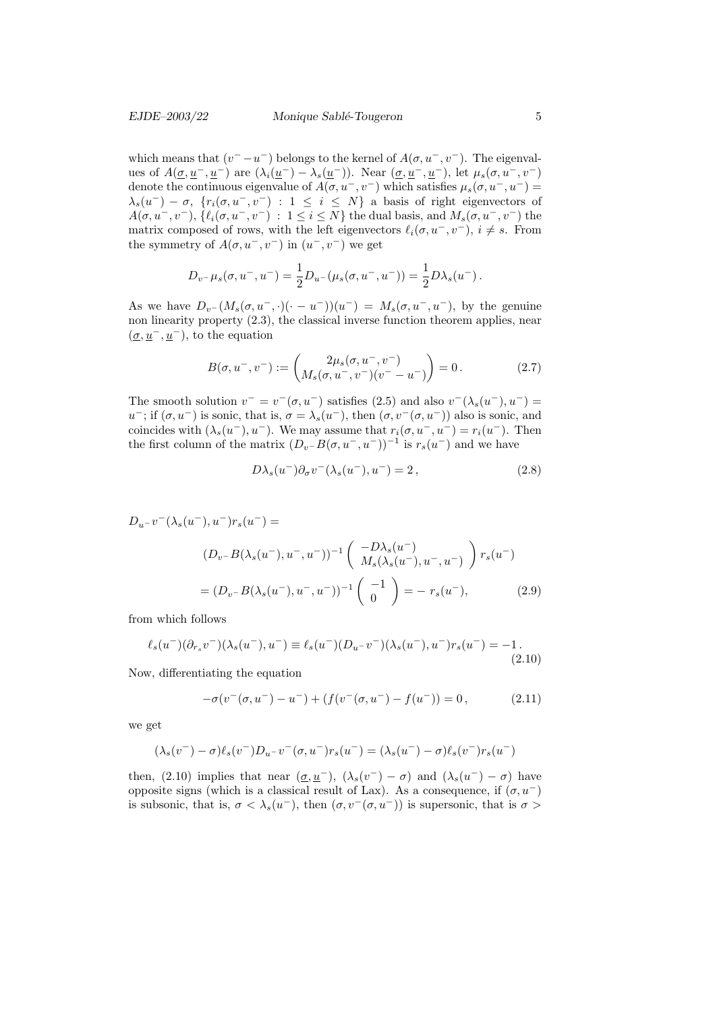which means that  $(v^- - u^-)$  belongs to the kernel of  $A(\sigma, u^-, v^-)$ . The eigenvalues of  $A(\underline{\sigma}, \underline{u}^-, \underline{u}^-)$  are  $(\lambda_i(\underline{u}^-) - \lambda_s(\underline{u}^-))$ . Near  $(\underline{\sigma}, \underline{u}^-, \underline{u}^-)$ , let  $\mu_s(\sigma, u^-, v^-)$ denote the continuous eigenvalue of  $A(\sigma, u^-, v^-)$  which satisfies  $\mu_s(\sigma, u^-, u^-)$  =  $\lambda_s(u^-) - \sigma$ ,  $\{r_i(\sigma, u^-, v^-) : 1 \leq i \leq N\}$  a basis of right eigenvectors of  $A(\sigma, u^-, v^-), \{\ell_i(\sigma, u^-, v^-) : 1 \leq i \leq N\}$  the dual basis, and  $M_s(\sigma, u^-, v^-)$  the matrix composed of rows, with the left eigenvectors  $\ell_i(\sigma, u^-, v^-), i \neq s$ . From the symmetry of  $A(\sigma, u^-, v^-)$  in  $(u^-, v^-)$  we get

$$
D_{v^-} \mu_s(\sigma, u^-, u^-) = \frac{1}{2} D_{u^-} (\mu_s(\sigma, u^-, u^-)) = \frac{1}{2} D \lambda_s(u^-).
$$

As we have  $D_{v}-(M_s(\sigma, u^-, \cdot)(\cdot - u^-))(u^-) = M_s(\sigma, u^-, u^-)$ , by the genuine non linearity property  $(2.3)$ , the classical inverse function theorem applies, near  $(\underline{\sigma}, \underline{u}^-, \underline{u}^-)$ , to the equation

$$
B(\sigma, u^-, v^-) := \begin{pmatrix} 2\mu_s(\sigma, u^-, v^-) \\ M_s(\sigma, u^-, v^-)(v^- - u^-) \end{pmatrix} = 0.
$$
 (2.7)

The smooth solution  $v^- = v^-(\sigma, u^-)$  satisfies (2.5) and also  $v^-(\lambda_s(u^-), u^-) =$ u<sup>-</sup>; if  $(\sigma, u^-)$  is sonic, that is,  $\sigma = \lambda_s(u^-)$ , then  $(\sigma, v^-(\sigma, u^-))$  also is sonic, and coincides with  $(\lambda_s(u^-), u^-)$ . We may assume that  $r_i(\sigma, u^-, u^-) = r_i(u^-)$ . Then the first column of the matrix  $(D_v - B(\sigma, u^-, u^-))^{-1}$  is  $r_s(u^-)$  and we have

$$
D\lambda_s(u^-)\partial_\sigma v^-(\lambda_s(u^-),u^-) = 2\,,\tag{2.8}
$$

$$
D_{u^{-}}v^{-}(\lambda_{s}(u^{-}), u^{-})r_{s}(u^{-}) =
$$
  

$$
(D_{v^{-}}B(\lambda_{s}(u^{-}), u^{-}, u^{-}))^{-1} \begin{pmatrix} -D\lambda_{s}(u^{-}) \\ M_{s}(\lambda_{s}(u^{-}), u^{-}, u^{-}) \end{pmatrix} r_{s}(u^{-})
$$
  

$$
= (D_{v^{-}}B(\lambda_{s}(u^{-}), u^{-}, u^{-}))^{-1} \begin{pmatrix} -1 \\ 0 \end{pmatrix} = -r_{s}(u^{-}),
$$
 (2.9)

from which follows

$$
\ell_s(u^-)(\partial_{r_s}v^-)(\lambda_s(u^-), u^-) \equiv \ell_s(u^-)(D_{u^-}v^-)(\lambda_s(u^-), u^-)r_s(u^-) = -1.
$$
\n(2.10)

Now, differentiating the equation

$$
-\sigma(v^-(\sigma, u^-) - u^-) + (f(v^-(\sigma, u^-) - f(u^-))) = 0, \qquad (2.11)
$$

we get

$$
(\lambda_s(v^-) - \sigma) \ell_s(v^-) D_{u^-} v^- (\sigma, u^-) r_s(u^-) = (\lambda_s(u^-) - \sigma) \ell_s(v^-) r_s(u^-)
$$

then, (2.10) implies that near  $(\underline{\sigma}, \underline{u}^-)$ ,  $(\lambda_s(v^-) - \sigma)$  and  $(\lambda_s(u^-) - \sigma)$  have opposite signs (which is a classical result of Lax). As a consequence, if  $(\sigma, u^-)$ is subsonic, that is,  $\sigma < \lambda_s(u^-)$ , then  $(\sigma, v^-(\sigma, u^-))$  is supersonic, that is  $\sigma >$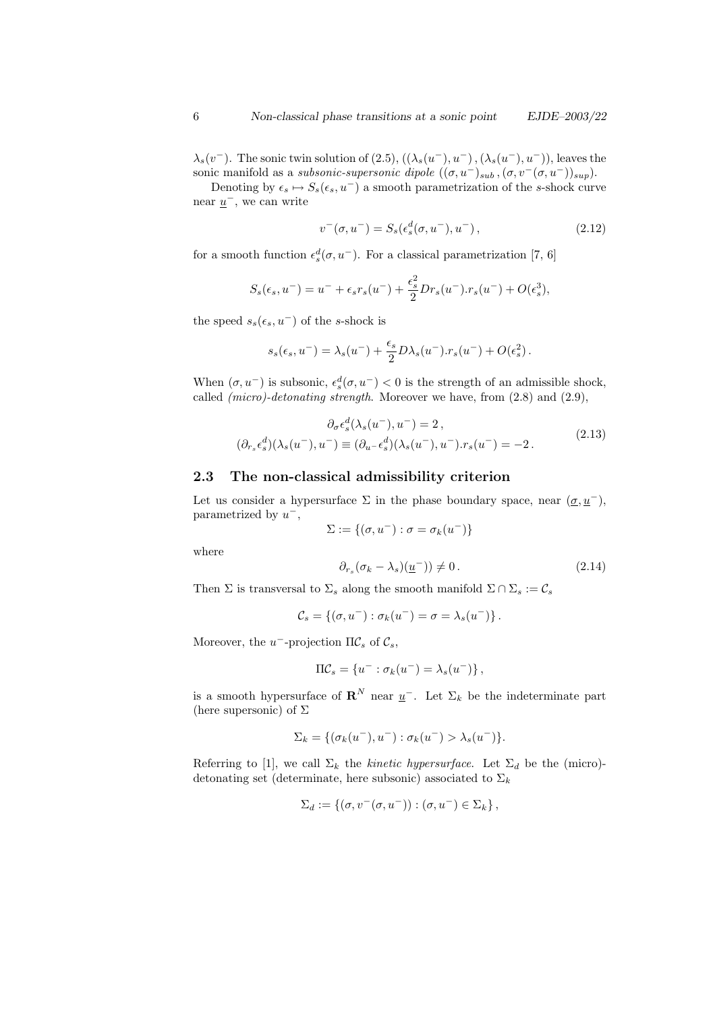$\lambda_s(v^-)$ . The sonic twin solution of  $(2.5)$ ,  $((\lambda_s(u^-), u^-), (\lambda_s(u^-), u^-))$ , leaves the sonic manifold as a *subsonic-supersonic dipole*  $((\sigma, u^-)_{sub}, (\sigma, v^-(\sigma, u^-))_{sup})$ .

Denoting by  $\epsilon_s \mapsto S_s(\epsilon_s, u^-)$  a smooth parametrization of the s-shock curve near  $\underline{u}^-$ , we can write

$$
v^-(\sigma, u^-) = S_s(\epsilon_s^d(\sigma, u^-), u^-), \qquad (2.12)
$$

for a smooth function  $\epsilon_s^d(\sigma, u^-)$ . For a classical parametrization [7, 6]

$$
S_s(\epsilon_s, u^-) = u^- + \epsilon_s r_s(u^-) + \frac{\epsilon_s^2}{2} Dr_s(u^-) \cdot r_s(u^-) + O(\epsilon_s^3),
$$

the speed  $s_s(\epsilon_s, u^-)$  of the s-shock is

$$
s_s(\epsilon_s, u^-) = \lambda_s(u^-) + \frac{\epsilon_s}{2} D\lambda_s(u^-) . r_s(u^-) + O(\epsilon_s^2) .
$$

When  $(\sigma, u^-)$  is subsonic,  $\epsilon_s^d(\sigma, u^-) < 0$  is the strength of an admissible shock, called  $(micro) - detonating strength$ . Moreover we have, from  $(2.8)$  and  $(2.9)$ ,

$$
\partial_{\sigma} \epsilon_s^d(\lambda_s(u^-), u^-) = 2,
$$
  

$$
(\partial_{r_s} \epsilon_s^d)(\lambda_s(u^-), u^-) \equiv (\partial_{u^-} \epsilon_s^d)(\lambda_s(u^-), u^-) \cdot r_s(u^-) = -2.
$$
 (2.13)

#### 2.3 The non-classical admissibility criterion

Let us consider a hypersurface  $\Sigma$  in the phase boundary space, near  $(\underline{\sigma}, \underline{u}^-)$ , parametrized by  $u^-,$ 

$$
\Sigma:=\{(\sigma,u^-):\sigma=\sigma_k(u^-)\}
$$

where

$$
\partial_{r_s} (\sigma_k - \lambda_s) \underline{u}^-) \neq 0. \tag{2.14}
$$

Then  $\Sigma$  is transversal to  $\Sigma_s$  along the smooth manifold  $\Sigma \cap \Sigma_s := \mathcal{C}_s$ 

$$
\mathcal{C}_s = \{ (\sigma, u^-) : \sigma_k(u^-) = \sigma = \lambda_s(u^-) \}.
$$

Moreover, the  $u^-$ -projection  $\Pi \mathcal{C}_s$  of  $\mathcal{C}_s$ ,

$$
\Pi \mathcal{C}_s = \{ u^- : \sigma_k(u^-) = \lambda_s(u^-) \},
$$

is a smooth hypersurface of  $\mathbb{R}^N$  near  $\underline{u}^-$ . Let  $\Sigma_k$  be the indeterminate part (here supersonic) of  $\Sigma$ 

$$
\Sigma_k = \{ (\sigma_k(u^-), u^-) : \sigma_k(u^-) > \lambda_s(u^-) \}.
$$

Referring to [1], we call  $\Sigma_k$  the *kinetic hypersurface*. Let  $\Sigma_d$  be the (micro)detonating set (determinate, here subsonic) associated to  $\Sigma_k$ 

$$
\Sigma_d := \{ (\sigma, v^-(\sigma, u^-)) : (\sigma, u^-) \in \Sigma_k \},
$$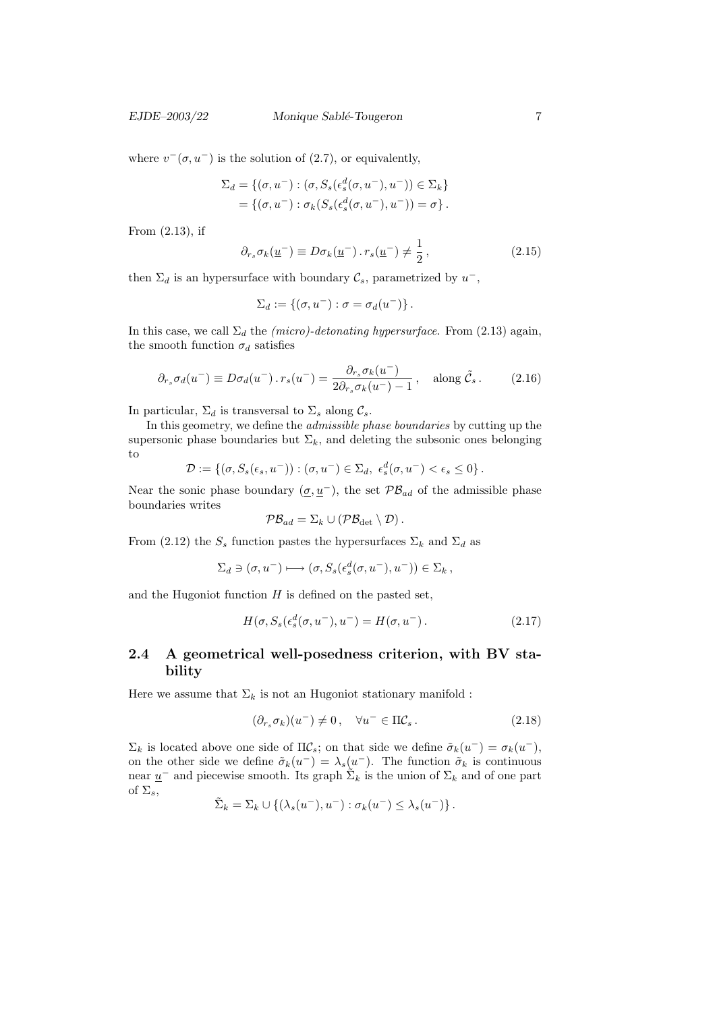EJDE–2003/22 Monique Sablé-Tougeron 7

where  $v^-(\sigma, u^-)$  is the solution of (2.7), or equivalently,

$$
\Sigma_d = \{(\sigma, u^-) : (\sigma, S_s(\epsilon_s^d(\sigma, u^-), u^-)) \in \Sigma_k\}
$$
  
= 
$$
\{(\sigma, u^-) : \sigma_k(S_s(\epsilon_s^d(\sigma, u^-), u^-)) = \sigma\}.
$$

From (2.13), if

$$
\partial_{r_s} \sigma_k(\underline{u}^-) \equiv D \sigma_k(\underline{u}^-) \cdot r_s(\underline{u}^-) \neq \frac{1}{2}, \qquad (2.15)
$$

then  $\Sigma_d$  is an hypersurface with boundary  $\mathcal{C}_s$ , parametrized by  $u^-$ ,

$$
\Sigma_d := \{ (\sigma, u^-) : \sigma = \sigma_d(u^-) \}.
$$

In this case, we call  $\Sigma_d$  the *(micro)-detonating hypersurface*. From (2.13) again, the smooth function  $\sigma_d$  satisfies

$$
\partial_{r_s} \sigma_d(u^-) \equiv D \sigma_d(u^-) \cdot r_s(u^-) = \frac{\partial_{r_s} \sigma_k(u^-)}{2 \partial_{r_s} \sigma_k(u^-) - 1}, \quad \text{along } \tilde{\mathcal{C}}_s. \tag{2.16}
$$

In particular,  $\Sigma_d$  is transversal to  $\Sigma_s$  along  $\mathcal{C}_s$ .

In this geometry, we define the admissible phase boundaries by cutting up the supersonic phase boundaries but  $\Sigma_k$ , and deleting the subsonic ones belonging to

$$
\mathcal{D} := \{ (\sigma, S_s(\epsilon_s, u^-)) : (\sigma, u^-) \in \Sigma_d, \ \epsilon_s^d(\sigma, u^-) < \epsilon_s \leq 0 \}.
$$

Near the sonic phase boundary  $(\underline{\sigma}, \underline{u}^{-})$ , the set  $\mathcal{PB}_{ad}$  of the admissible phase boundaries writes

$$
\mathcal{PB}_{ad}=\Sigma_k\cup(\mathcal{PB}_{\det}\setminus\mathcal{D})\,.
$$

From (2.12) the  $S_s$  function pastes the hypersurfaces  $\Sigma_k$  and  $\Sigma_d$  as

$$
\Sigma_d \ni (\sigma, u^-) \longmapsto (\sigma, S_s(\epsilon_s^d(\sigma, u^-), u^-)) \in \Sigma_k ,
$$

and the Hugoniot function  $H$  is defined on the pasted set,

$$
H(\sigma, S_s(\epsilon_s^d(\sigma, u^-), u^-) = H(\sigma, u^-). \tag{2.17}
$$

# 2.4 A geometrical well-posedness criterion, with BV stability

Here we assume that  $\Sigma_k$  is not an Hugoniot stationary manifold :

$$
(\partial_{r_s} \sigma_k)(u^-) \neq 0, \quad \forall u^- \in \Pi \mathcal{C}_s. \tag{2.18}
$$

 $\Sigma_k$  is located above one side of  $\Pi \mathcal{C}_s$ ; on that side we define  $\tilde{\sigma}_k(u^-) = \sigma_k(u^-)$ , on the other side we define  $\tilde{\sigma}_k(u^-) = \lambda_s(u^-)$ . The function  $\tilde{\sigma}_k$  is continuous near  $\underline{u}^-$  and piecewise smooth. Its graph  $\tilde{\Sigma}_k$  is the union of  $\Sigma_k$  and of one part of  $\Sigma_s$ ,

$$
\tilde{\Sigma}_k = \Sigma_k \cup \{ (\lambda_s(u^-), u^-) : \sigma_k(u^-) \leq \lambda_s(u^-) \}.
$$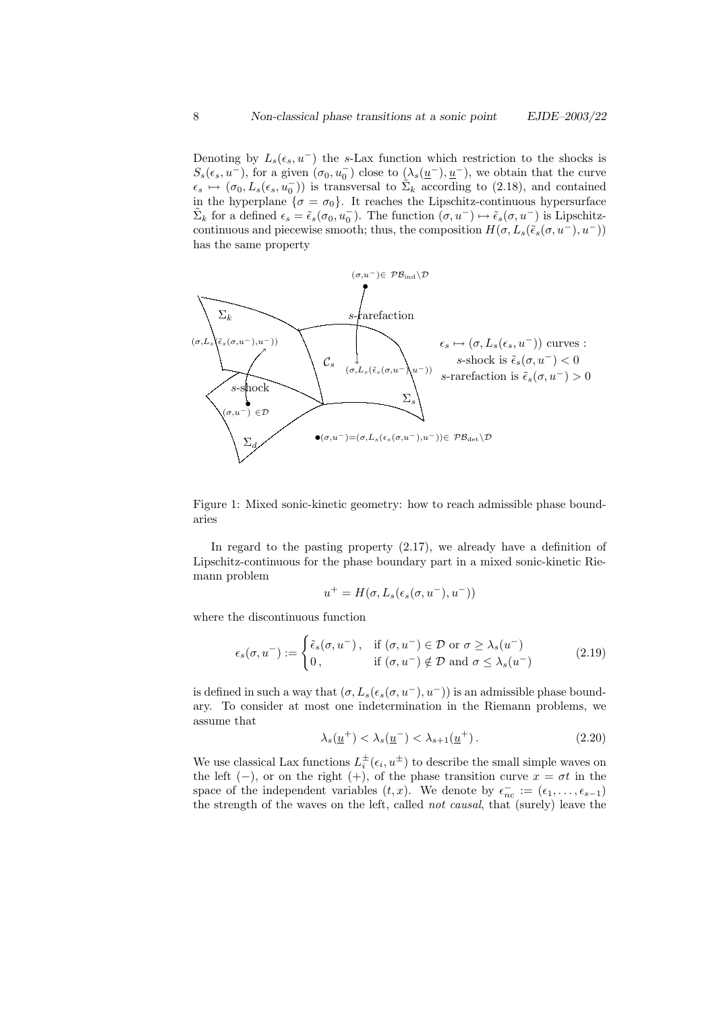Denoting by  $L_s(\epsilon_s, u^-)$  the s-Lax function which restriction to the shocks is  $S_s(\epsilon_s, u^-)$ , for a given  $(\sigma_0, u_0^-)$  close to  $(\lambda_s(\underline{u}^-), \underline{u}^-)$ , we obtain that the curve  $\epsilon_s \mapsto (\sigma_0, L_s(\epsilon_s, u_0^{-}))$  is transversal to  $\tilde{\Sigma}_k$  according to (2.18), and contained in the hyperplane  $\{\sigma = \sigma_0\}$ . It reaches the Lipschitz-continuous hypersurface  $\tilde{\Sigma}_k$  for a defined  $\epsilon_s = \tilde{\epsilon}_s(\sigma_0, u_0^-)$ . The function  $(\sigma, u^-) \mapsto \tilde{\epsilon}_s(\sigma, u^-)$  is Lipschitzcontinuous and piecewise smooth; thus, the composition  $H(\sigma, L_s(\tilde{\epsilon}_s(\sigma, u^-), u^-))$ has the same property



Figure 1: Mixed sonic-kinetic geometry: how to reach admissible phase boundaries

In regard to the pasting property (2.17), we already have a definition of Lipschitz-continuous for the phase boundary part in a mixed sonic-kinetic Riemann problem

$$
u^{+} = H(\sigma, L_{s}(\epsilon_{s}(\sigma, u^{-}), u^{-}))
$$

where the discontinuous function

$$
\epsilon_s(\sigma, u^-) := \begin{cases} \tilde{\epsilon}_s(\sigma, u^-), & \text{if } (\sigma, u^-) \in \mathcal{D} \text{ or } \sigma \ge \lambda_s(u^-) \\ 0, & \text{if } (\sigma, u^-) \notin \mathcal{D} \text{ and } \sigma \le \lambda_s(u^-) \end{cases}
$$
(2.19)

is defined in such a way that  $(\sigma, L_s(\epsilon_s(\sigma, u^-), u^-))$  is an admissible phase boundary. To consider at most one indetermination in the Riemann problems, we assume that

$$
\lambda_s(\underline{u}^+) < \lambda_s(\underline{u}^-) < \lambda_{s+1}(\underline{u}^+). \tag{2.20}
$$

We use classical Lax functions  $L_i^{\pm}(\epsilon_i, u^{\pm})$  to describe the small simple waves on the left (−), or on the right (+), of the phase transition curve  $x = \sigma t$  in the space of the independent variables  $(t, x)$ . We denote by  $\epsilon_{nc}^- := (\epsilon_1, \ldots, \epsilon_{s-1})$ the strength of the waves on the left, called not causal, that (surely) leave the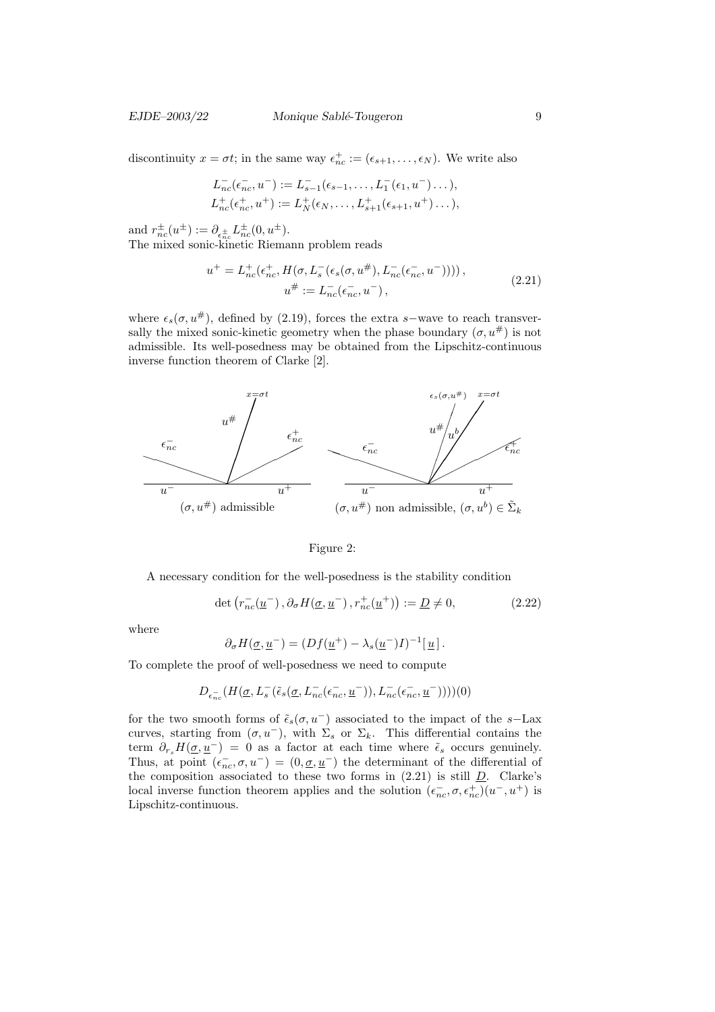#### EJDE–2003/22 Monique Sablé-Tougeron 9

discontinuity  $x = \sigma t$ ; in the same way  $\epsilon_{nc}^+ := (\epsilon_{s+1}, \ldots, \epsilon_N)$ . We write also

$$
L_{nc}^{-}(\epsilon_{nc}^{-}, u^{-}) := L_{s-1}^{-}(\epsilon_{s-1}, \ldots, L_{1}^{-}(\epsilon_{1}, u^{-}) \ldots),
$$
  
\n
$$
L_{nc}^{+}(\epsilon_{nc}^{+}, u^{+}) := L_{N}^{+}(\epsilon_{N}, \ldots, L_{s+1}^{+}(\epsilon_{s+1}, u^{+}) \ldots),
$$

and  $r_{nc}^{\pm}(u^{\pm}) := \partial_{\epsilon_{nc}^{\pm}} L_{nc}^{\pm}(0, u^{\pm}).$ The mixed sonic-kinetic Riemann problem reads

$$
u^{+} = L_{nc}^{+}(\epsilon_{nc}^{+}, H(\sigma, L_{s}^{-}(\epsilon_{s}(\sigma, u^{\#}), L_{nc}^{-}(\epsilon_{nc}^{-}, u^{-}))))
$$
\n
$$
u^{\#} := L_{nc}^{-}(\epsilon_{nc}^{-}, u^{-}),
$$
\n(2.21)

where  $\epsilon_s(\sigma, u^{\#})$ , defined by (2.19), forces the extra s–wave to reach transversally the mixed sonic-kinetic geometry when the phase boundary  $(\sigma, u^{\#})$  is not admissible. Its well-posedness may be obtained from the Lipschitz-continuous inverse function theorem of Clarke [2].



#### Figure 2:

A necessary condition for the well-posedness is the stability condition

$$
\det\left(r_{nc}^{-}(\underline{u}^{-}),\partial_{\sigma}H(\underline{\sigma},\underline{u}^{-}),r_{nc}^{+}(\underline{u}^{+})\right):=\underline{D}\neq 0,
$$
\n(2.22)

where

$$
\partial_{\sigma} H(\underline{\sigma}, \underline{u}^-) = (Df(\underline{u}^+) - \lambda_s(\underline{u}^-)I)^{-1}[\underline{u}].
$$

To complete the proof of well-posedness we need to compute

$$
D_{\epsilon_{nc}^-}(H(\underline{\sigma},L_s^-(\tilde{\epsilon}_s(\underline{\sigma},L_{nc}^-(\epsilon_{nc}^-,\underline{u}^-)),L_{nc}^-(\epsilon_{nc}^-,\underline{u}^-))))(0)
$$

for the two smooth forms of  $\tilde{\epsilon}_s(\sigma, u^-)$  associated to the impact of the s-Lax curves, starting from  $(\sigma, u^-)$ , with  $\Sigma_s$  or  $\Sigma_k$ . This differential contains the term  $\partial_{r_s}H(\underline{\sigma}, \underline{u}^-) = 0$  as a factor at each time where  $\tilde{\epsilon}_s$  occurs genuinely. Thus, at point  $(\epsilon_{nc}^-,\sigma,u^-)=(0,\underline{\sigma},\underline{u}^-)$  the determinant of the differential of the composition associated to these two forms in  $(2.21)$  is still  $D$ . Clarke's local inverse function theorem applies and the solution  $(\epsilon_{nc}^-$ ,  $\sigma, \epsilon_{nc}^+)(u^-, u^+)$  is Lipschitz-continuous.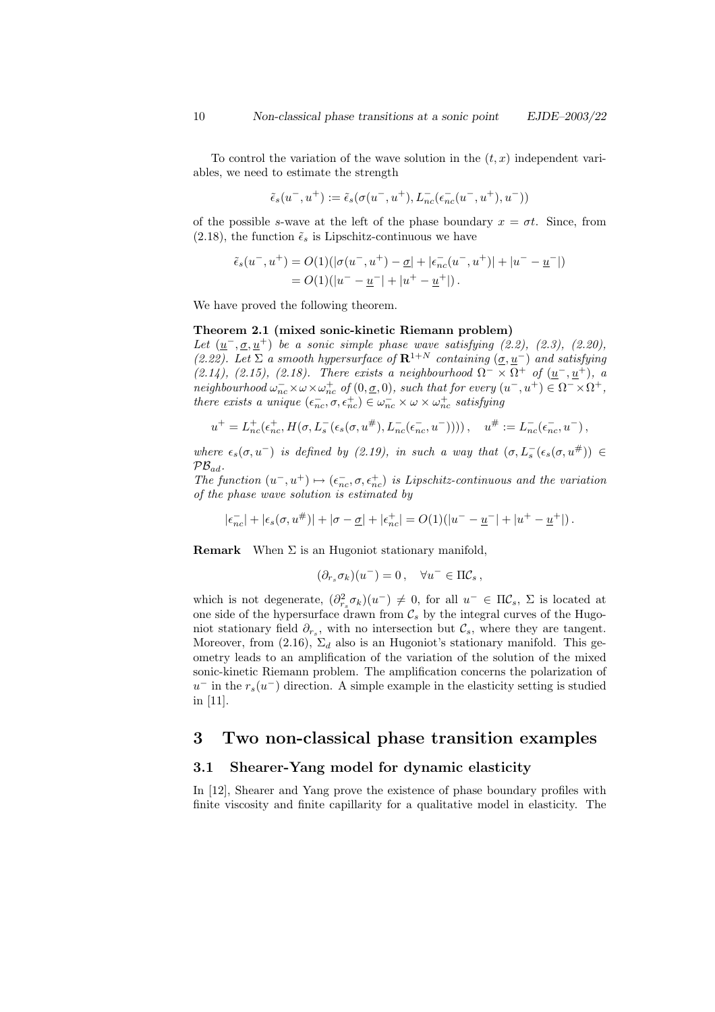To control the variation of the wave solution in the  $(t, x)$  independent variables, we need to estimate the strength

$$
\tilde{\epsilon}_s(u^-,u^+) := \tilde{\epsilon}_s(\sigma(u^-,u^+),L^-_{nc}(\epsilon^-_{nc}(u^-,u^+),u^-))
$$

of the possible s-wave at the left of the phase boundary  $x = \sigma t$ . Since, from (2.18), the function  $\tilde{\epsilon}_s$  is Lipschitz-continuous we have

$$
\tilde{\epsilon}_s(u^-, u^+) = O(1)(|\sigma(u^-, u^+) - \underline{\sigma}| + |\epsilon_{nc}^-(u^-, u^+)| + |u^- - \underline{u}^-|)
$$
  
=  $O(1)(|u^- - \underline{u}^-| + |u^+ - \underline{u}^+|).$ 

We have proved the following theorem.

### Theorem 2.1 (mixed sonic-kinetic Riemann problem)

Let  $(\underline{u}^-, \underline{\sigma}, \underline{u}^+)$  be a sonic simple phase wave satisfying (2.2), (2.3), (2.20), (2.22). Let  $\Sigma$  a smooth hypersurface of  $\mathbb{R}^{1+N}$  containing  $(\underline{\sigma}, \underline{u}^{-})$  and satisfying  $(2.14)$ ,  $(2.15)$ ,  $(2.18)$ . There exists a neighbourhood  $\Omega^- \times \Omega^+$  of  $(\underline{u}^-,\underline{u}^+)$ , a neighbourhood  $\omega_{nc}^- \times \omega \times \omega_{nc}^+$  of  $(0, \underline{\sigma}, 0)$ , such that for every  $(u^-, u^+) \in \Omega^- \times \Omega^+$ , there exists a unique  $(\epsilon_{nc}^-,\sigma,\epsilon_{nc}^+) \in \omega_{nc}^- \times \omega \times \omega_{nc}^+$  satisfying

$$
u^+ = L_{nc}^+(\epsilon_{nc}^+, H(\sigma, L_s^-(\epsilon_s(\sigma, u^+), L_{nc}^-(\epsilon_{nc}^-, u^-))))\,, \quad u^\# := L_{nc}^-(\epsilon_{nc}^-, u^-)\,,
$$

where  $\epsilon_s(\sigma, u^-)$  is defined by (2.19), in such a way that  $(\sigma, L_s^-(\epsilon_s(\sigma, u^{\#})) \in$  $PB_{ad}$ .

The function  $(u^-, u^+) \mapsto (\epsilon_{nc}^-, \sigma, \epsilon_{nc}^+)$  is Lipschitz-continuous and the variation of the phase wave solution is estimated by

$$
|\epsilon_{nc}^-| + |\epsilon_s(\sigma, u^*)| + |\sigma - \underline{\sigma}| + |\epsilon_{nc}^+| = O(1)(|u^- - \underline{u}^-| + |u^+ - \underline{u}^+|).
$$

**Remark** When  $\Sigma$  is an Hugoniot stationary manifold,

$$
(\partial_{r_s} \sigma_k)(u^-) = 0\,, \quad \forall u^- \in \Pi \mathcal{C}_s\,,
$$

which is not degenerate,  $(\partial_{r_s}^2 \sigma_k)(u^-) \neq 0$ , for all  $u^- \in \Pi \mathcal{C}_s$ ,  $\Sigma$  is located at one side of the hypersurface drawn from  $\mathcal{C}_s$  by the integral curves of the Hugoniot stationary field  $\partial_{r_s}$ , with no intersection but  $\mathcal{C}_s$ , where they are tangent. Moreover, from (2.16),  $\Sigma_d$  also is an Hugoniot's stationary manifold. This geometry leads to an amplification of the variation of the solution of the mixed sonic-kinetic Riemann problem. The amplification concerns the polarization of  $u^-$  in the  $r_s(u^-)$  direction. A simple example in the elasticity setting is studied in [11].

# 3 Two non-classical phase transition examples

## 3.1 Shearer-Yang model for dynamic elasticity

In [12], Shearer and Yang prove the existence of phase boundary profiles with finite viscosity and finite capillarity for a qualitative model in elasticity. The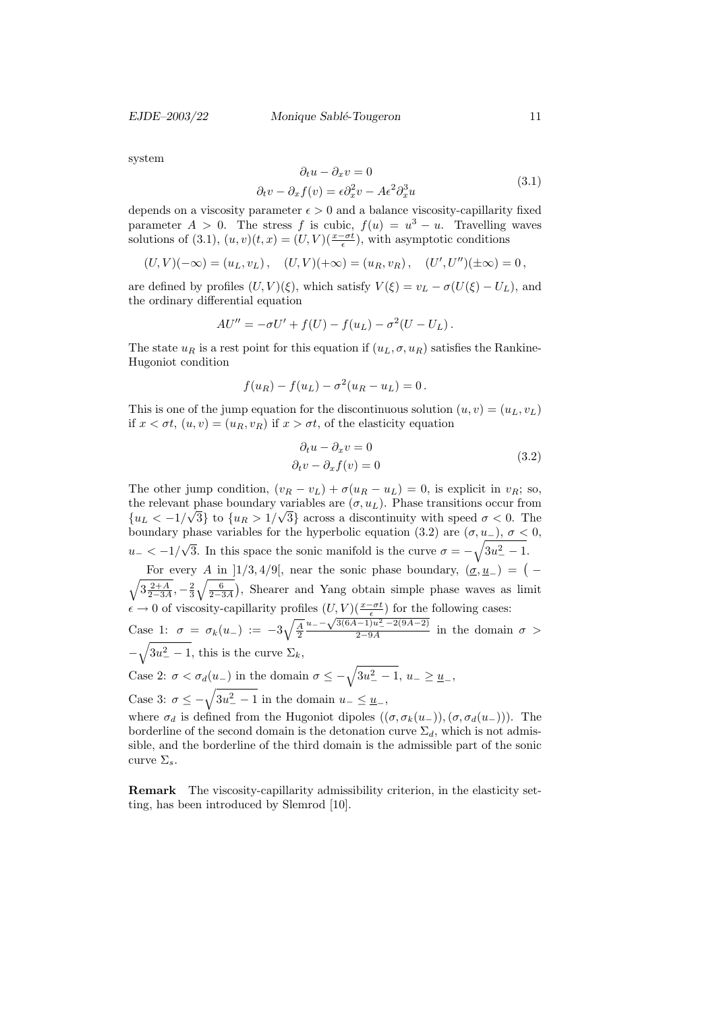EJDE–2003/22 Monique Sablé-Tougeron 11

system

$$
\partial_t u - \partial_x v = 0
$$
  

$$
\partial_t v - \partial_x f(v) = \epsilon \partial_x^2 v - A \epsilon^2 \partial_x^3 u
$$
 (3.1)

depends on a viscosity parameter  $\epsilon > 0$  and a balance viscosity-capillarity fixed parameter  $A > 0$ . The stress f is cubic,  $f(u) = u^3 - u$ . Travelling waves solutions of (3.1),  $(u, v)(t, x) = (U, V)(\frac{x - \sigma t}{\epsilon})$ , with asymptotic conditions

$$
(U, V)(-\infty) = (u_L, v_L),
$$
  $(U, V)(+\infty) = (u_R, v_R),$   $(U', U'')(\pm \infty) = 0,$ 

are defined by profiles  $(U, V)(\xi)$ , which satisfy  $V(\xi) = v_L - \sigma(U(\xi) - U_L)$ , and the ordinary differential equation

$$
AU'' = -\sigma U' + f(U) - f(u_L) - \sigma^2 (U - U_L).
$$

The state  $u_R$  is a rest point for this equation if  $(u_L, \sigma, u_R)$  satisfies the Rankine-Hugoniot condition

$$
f(u_R) - f(u_L) - \sigma^2(u_R - u_L) = 0.
$$

This is one of the jump equation for the discontinuous solution  $(u, v) = (u_L, v_L)$ if  $x < \sigma t$ ,  $(u, v) = (u_R, v_R)$  if  $x > \sigma t$ , of the elasticity equation

$$
\partial_t u - \partial_x v = 0
$$
  
\n
$$
\partial_t v - \partial_x f(v) = 0
$$
\n(3.2)

The other jump condition,  $(v_R - v_L) + \sigma(u_R - u_L) = 0$ , is explicit in  $v_R$ ; so, the relevant phase boundary variables are  $(\sigma, u_L)$ . Phase transitions occur from  ${u_L < -1/\sqrt{3}}$  to  ${u_R > 1/\sqrt{3}}$  across a discontinuity with speed  $\sigma < 0$ . The boundary phase variables for the hyperbolic equation (3.2) are  $(\sigma, u_-)$ ,  $\sigma < 0$ ,  $u_- < -1/$ √ 3. In this space the sonic manifold is the curve  $\sigma = -\sqrt{3u_{-}^{2} - 1}$ .

For every A in [1/3, 4/9[, near the sonic phase boundary,  $(\underline{\sigma}, \underline{u}_{-}) = (-1)^{n}$  $\sqrt{3\frac{2+A}{2-3A}}, -\frac{2}{3}\sqrt{\frac{6}{2-3A}}$ , Shearer and Yang obtain simple phase waves as limit  $\epsilon \to 0$  of viscosity-capillarity profiles  $(U, V)(\frac{x-\sigma t}{\epsilon})$  for the following cases:  $u = -\sqrt{3(6A-1)u^2 - 2(9A-2)}$ 

Case 1:  $\sigma = \sigma_k(u_-) := -3\sqrt{\frac{A}{2}}$  $\frac{1}{2-9A}$  in the domain  $\sigma >$  $-\sqrt{3u^2-1}$ , this is the curve  $\Sigma_k$ ,

Case 2:  $\sigma < \sigma_d(u_-)$  in the domain  $\sigma \leq -\sqrt{3u_-^2 - 1}$ ,  $u_- \geq u_-$ ,

Case 3:  $\sigma \leq -\sqrt{3u_-^2 - 1}$  in the domain  $u_- \leq u_-$ ,

where  $\sigma_d$  is defined from the Hugoniot dipoles  $((\sigma, \sigma_k(u_-)),(\sigma, \sigma_d(u_-)))$ . The borderline of the second domain is the detonation curve  $\Sigma_d$ , which is not admissible, and the borderline of the third domain is the admissible part of the sonic curve  $\Sigma_s$ .

Remark The viscosity-capillarity admissibility criterion, in the elasticity setting, has been introduced by Slemrod [10].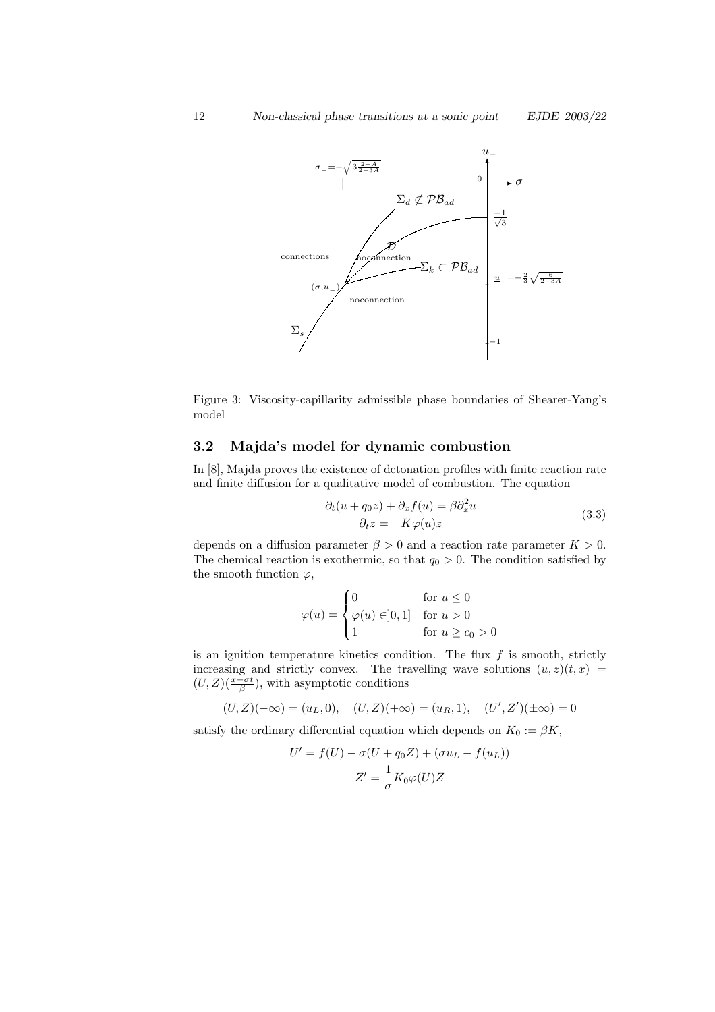

Figure 3: Viscosity-capillarity admissible phase boundaries of Shearer-Yang's model

# 3.2 Majda's model for dynamic combustion

In [8], Majda proves the existence of detonation profiles with finite reaction rate and finite diffusion for a qualitative model of combustion. The equation

$$
\partial_t (u + q_0 z) + \partial_x f(u) = \beta \partial_x^2 u
$$
  

$$
\partial_t z = -K \varphi(u) z
$$
 (3.3)

depends on a diffusion parameter  $\beta > 0$  and a reaction rate parameter  $K > 0$ . The chemical reaction is exothermic, so that  $q_0 > 0$ . The condition satisfied by the smooth function  $\varphi$ ,

$$
\varphi(u) = \begin{cases} 0 & \text{for } u \le 0 \\ \varphi(u) \in ]0,1] & \text{for } u > 0 \\ 1 & \text{for } u \ge c_0 > 0 \end{cases}
$$

is an ignition temperature kinetics condition. The flux  $f$  is smooth, strictly increasing and strictly convex. The travelling wave solutions  $(u, z)(t, x)$  =  $(U, Z)$  $\left(\frac{x-\sigma t}{\beta}\right)$ , with asymptotic conditions

$$
(U, Z)(-\infty) = (u_L, 0), \quad (U, Z)(+\infty) = (u_R, 1), \quad (U', Z')(\pm \infty) = 0
$$

satisfy the ordinary differential equation which depends on  $K_0 := \beta K$ ,

$$
U' = f(U) - \sigma(U + q_0 Z) + (\sigma u_L - f(u_L))
$$

$$
Z' = \frac{1}{\sigma} K_0 \varphi(U) Z
$$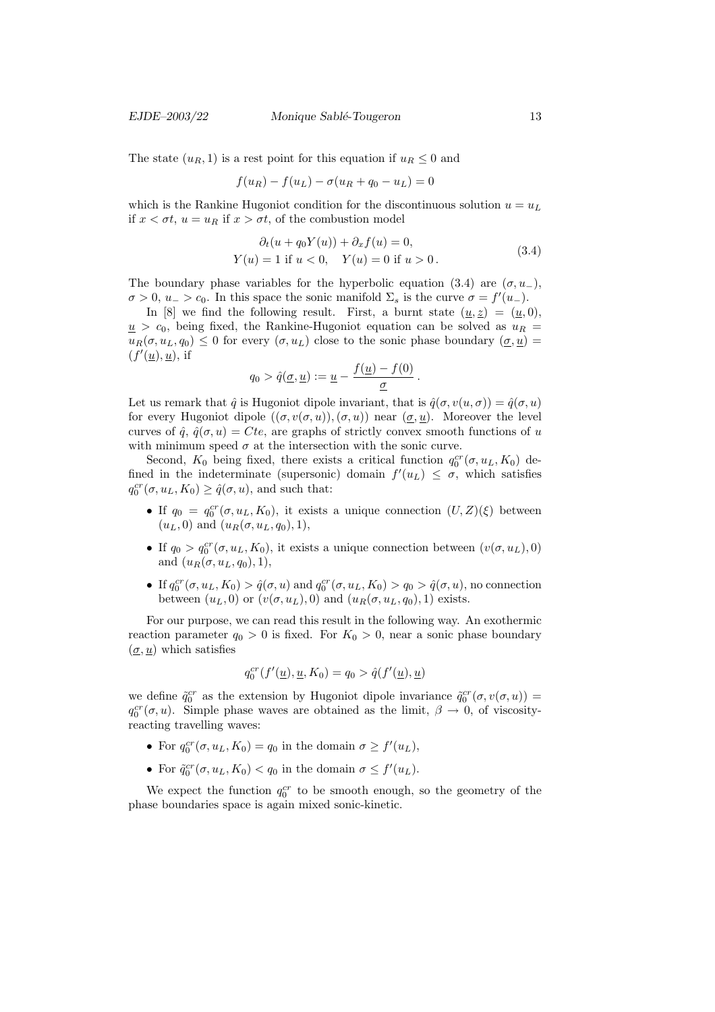The state  $(u_R, 1)$  is a rest point for this equation if  $u_R \leq 0$  and

$$
f(u_R) - f(u_L) - \sigma(u_R + q_0 - u_L) = 0
$$

which is the Rankine Hugoniot condition for the discontinuous solution  $u = u<sub>L</sub>$ if  $x < \sigma t$ ,  $u = u_R$  if  $x > \sigma t$ , of the combustion model

$$
\partial_t (u + q_0 Y(u)) + \partial_x f(u) = 0,
$$
  
\n
$$
Y(u) = 1 \text{ if } u < 0, \quad Y(u) = 0 \text{ if } u > 0.
$$
\n(3.4)

.

The boundary phase variables for the hyperbolic equation (3.4) are  $(\sigma, u_-,)$ ,  $\sigma > 0$ ,  $u_{-} > c_0$ . In this space the sonic manifold  $\Sigma_s$  is the curve  $\sigma = f'(u_{-})$ .

In [8] we find the following result. First, a burnt state  $(\underline{u}, \underline{z}) = (\underline{u}, 0)$ ,  $u > c_0$ , being fixed, the Rankine-Hugoniot equation can be solved as  $u_R =$  $u_R(\sigma, u_L, q_0) \leq 0$  for every  $(\sigma, u_L)$  close to the sonic phase boundary  $(\sigma, u)$  $(f'(\underline{u}), \underline{u})$ , if

$$
q_0 > \hat{q}(\underline{\sigma}, \underline{u}) := \underline{u} - \frac{f(\underline{u}) - f(0)}{\underline{\sigma}}
$$

Let us remark that  $\hat{q}$  is Hugoniot dipole invariant, that is  $\hat{q}(\sigma, v(u, \sigma)) = \hat{q}(\sigma, u)$ for every Hugoniot dipole  $((\sigma, v(\sigma, u)), (\sigma, u))$  near  $(\sigma, u)$ . Moreover the level curves of  $\hat{q}$ ,  $\hat{q}(\sigma, u) = Cte$ , are graphs of strictly convex smooth functions of u with minimum speed  $\sigma$  at the intersection with the sonic curve.

Second,  $K_0$  being fixed, there exists a critical function  $q_0^{cr}(\sigma, u_L, K_0)$  defined in the indeterminate (supersonic) domain  $f'(u_L) \leq \sigma$ , which satisfies  $q_0^{cr}(\sigma, u_L, K_0) \ge \hat{q}(\sigma, u)$ , and such that:

- If  $q_0 = q_0^{cr}(\sigma, u_L, K_0)$ , it exists a unique connection  $(U, Z)(\xi)$  between  $(u_L, 0)$  and  $(u_R(\sigma, u_L, q_0), 1),$
- If  $q_0 > q_0^{cr}(\sigma, u_L, K_0)$ , it exists a unique connection between  $(v(\sigma, u_L), 0)$ and  $(u_R(\sigma, u_L, q_0), 1),$
- If  $q_0^{cr}(\sigma, u_L, K_0) > \hat{q}(\sigma, u)$  and  $q_0^{cr}(\sigma, u_L, K_0) > q_0 > \hat{q}(\sigma, u)$ , no connection between  $(u<sub>L</sub>, 0)$  or  $(v(\sigma, u<sub>L</sub>), 0)$  and  $(u<sub>R</sub>(\sigma, u<sub>L</sub>, q<sub>0</sub>), 1)$  exists.

For our purpose, we can read this result in the following way. An exothermic reaction parameter  $q_0 > 0$  is fixed. For  $K_0 > 0$ , near a sonic phase boundary  $(\underline{\sigma}, \underline{u})$  which satisfies

$$
q_0^{cr}(f'(\underline{u}), \underline{u}, K_0) = q_0 > \hat{q}(f'(\underline{u}), \underline{u})
$$

we define  $\tilde{q}_0^{cr}$  as the extension by Hugoniot dipole invariance  $\tilde{q}_0^{cr}(\sigma, v(\sigma, u))$  =  $q_0^{cr}(\sigma, u)$ . Simple phase waves are obtained as the limit,  $\beta \to 0$ , of viscosityreacting travelling waves:

- For  $q_0^{cr}(\sigma, u_L, K_0) = q_0$  in the domain  $\sigma \ge f'(u_L)$ ,
- For  $\tilde{q}_0^{cr}(\sigma, u_L, K_0) < q_0$  in the domain  $\sigma \le f'(u_L)$ .

We expect the function  $q_0^{cr}$  to be smooth enough, so the geometry of the phase boundaries space is again mixed sonic-kinetic.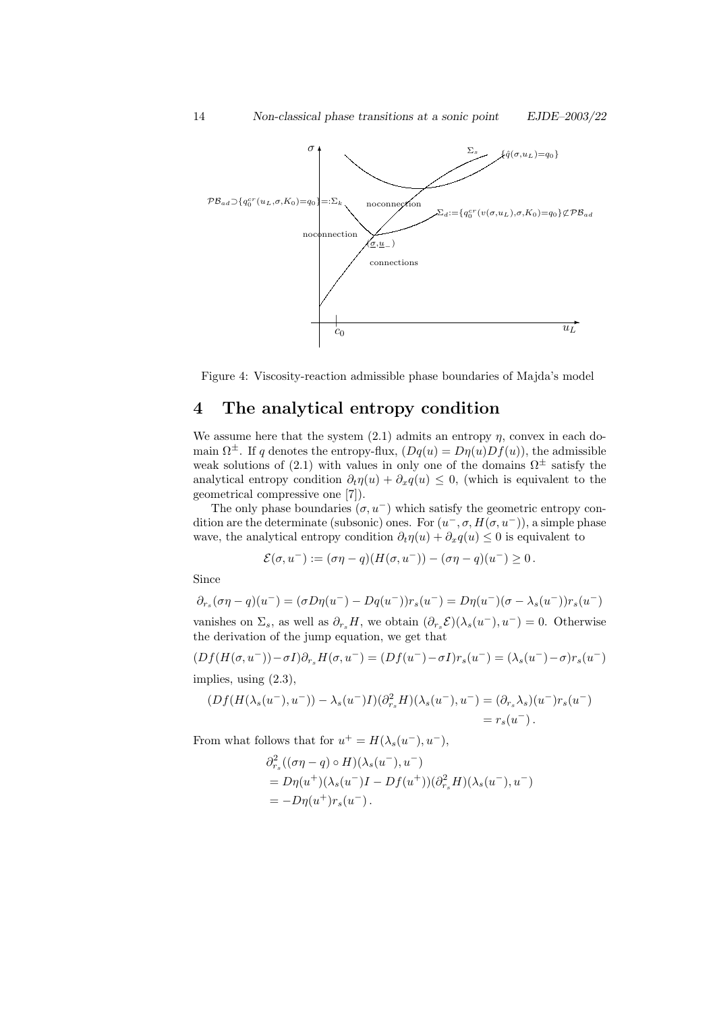

Figure 4: Viscosity-reaction admissible phase boundaries of Majda's model

# 4 The analytical entropy condition

We assume here that the system  $(2.1)$  admits an entropy  $\eta$ , convex in each domain  $\Omega^{\pm}$ . If q denotes the entropy-flux,  $(Dq(u) = D\eta(u)Df(u))$ , the admissible weak solutions of (2.1) with values in only one of the domains  $\Omega^{\pm}$  satisfy the analytical entropy condition  $\partial_t \eta(u) + \partial_x q(u) \leq 0$ , (which is equivalent to the geometrical compressive one [7]).

The only phase boundaries  $(\sigma, u^-)$  which satisfy the geometric entropy condition are the determinate (subsonic) ones. For  $(u^-, \sigma, H(\sigma, u^-))$ , a simple phase wave, the analytical entropy condition  $\partial_t \eta(u) + \partial_x q(u) \leq 0$  is equivalent to

$$
\mathcal{E}(\sigma, u^-) := (\sigma \eta - q)(H(\sigma, u^-)) - (\sigma \eta - q)(u^-) \ge 0.
$$

Since

$$
\partial_{r_s}(\sigma \eta - q)(u^-) = (\sigma D\eta(u^-) - Dq(u^-))r_s(u^-) = D\eta(u^-)(\sigma - \lambda_s(u^-))r_s(u^-)
$$
vanishes on  $\Sigma_s$ , as well as  $\partial_{r_s}H$ , we obtain  $(\partial_{r_s}\mathcal{E})(\lambda_s(u^-), u^-) = 0$ . Otherwise

the derivation of the jump equation, we get that

$$
(Df(H(\sigma, u^-)) - \sigma I)\partial_{r_s}H(\sigma, u^-) = (Df(u^-) - \sigma I)r_s(u^-) = (\lambda_s(u^-) - \sigma)r_s(u^-)
$$

implies, using (2.3),

$$
(Df(H(\lambda_s(u^-), u^-)) - \lambda_s(u^-)I)(\partial_{r_s}^2 H)(\lambda_s(u^-), u^-) = (\partial_{r_s}\lambda_s)(u^-)r_s(u^-) = r_s(u^-).
$$

From what follows that for  $u^+ = H(\lambda_s(u^-), u^-)$ ,

$$
\partial_{r_s}^2 ((\sigma \eta - q) \circ H)(\lambda_s(u^-), u^-)
$$
  
=  $D\eta(u^+)(\lambda_s(u^-)I - Df(u^+))(\partial_{r_s}^2 H)(\lambda_s(u^-), u^-)$   
=  $-D\eta(u^+)r_s(u^-).$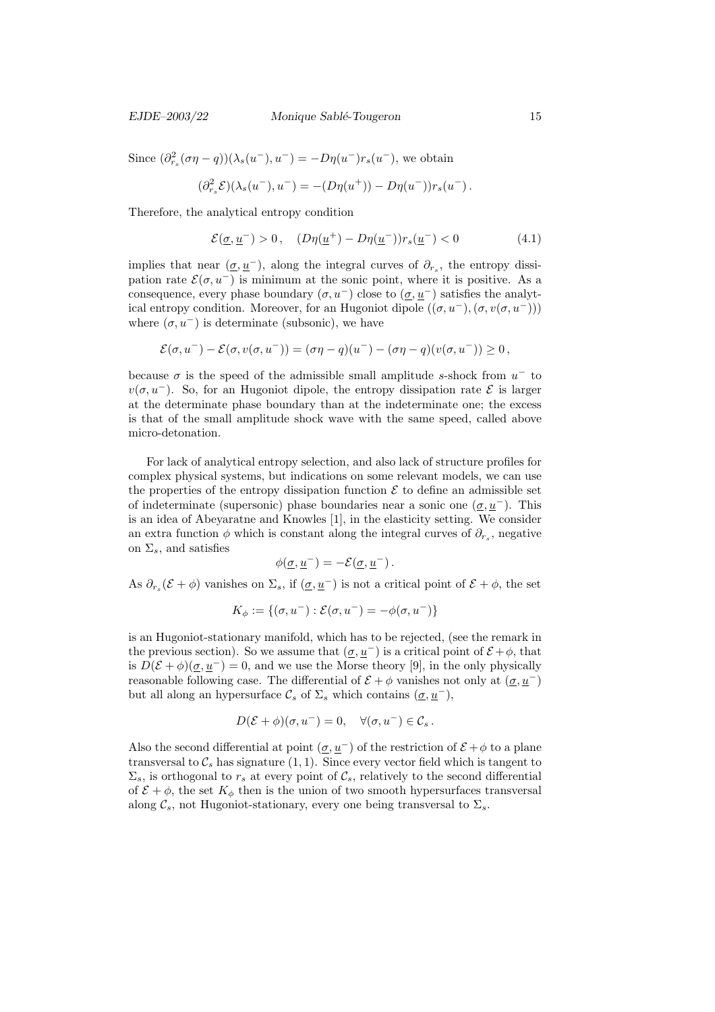#### EJDE–2003/22 Monique Sablé-Tougeron 15

Since  $(\partial_{r_s}^2(\sigma \eta - q))(\lambda_s(u^-), u^-) = -D\eta(u^-)r_s(u^-)$ , we obtain

$$
(\partial_{r_s}^2 \mathcal{E})(\lambda_s(u^-), u^-) = -(D\eta(u^+)) - D\eta(u^-))r_s(u^-).
$$

Therefore, the analytical entropy condition

$$
\mathcal{E}(\underline{\sigma}, \underline{u}^-) > 0 \,, \quad (D\eta(\underline{u}^+) - D\eta(\underline{u}^-))r_s(\underline{u}^-) < 0 \tag{4.1}
$$

implies that near  $(\underline{\sigma}, \underline{u}^-)$ , along the integral curves of  $\partial_{r_s}$ , the entropy dissipation rate  $\mathcal{E}(\sigma, u^-)$  is minimum at the sonic point, where it is positive. As a consequence, every phase boundary  $(\sigma, u^-)$  close to  $(\underline{\sigma}, \underline{u}^-)$  satisfies the analytical entropy condition. Moreover, for an Hugoniot dipole  $((\sigma, u^-), (\sigma, v(\sigma, u^-)))$ where  $(\sigma, u^-)$  is determinate (subsonic), we have

$$
\mathcal{E}(\sigma,u^-)-\mathcal{E}(\sigma,v(\sigma,u^-))=(\sigma\eta-q)(u^-)-(\sigma\eta-q)(v(\sigma,u^-))\geq 0\,,
$$

because  $\sigma$  is the speed of the admissible small amplitude s-shock from  $u^-$  to  $v(\sigma, u^{-})$ . So, for an Hugoniot dipole, the entropy dissipation rate  $\mathcal E$  is larger at the determinate phase boundary than at the indeterminate one; the excess is that of the small amplitude shock wave with the same speed, called above micro-detonation.

For lack of analytical entropy selection, and also lack of structure profiles for complex physical systems, but indications on some relevant models, we can use the properties of the entropy dissipation function  $\mathcal E$  to define an admissible set of indeterminate (supersonic) phase boundaries near a sonic one  $(\sigma, u^-)$ . This is an idea of Abeyaratne and Knowles [1], in the elasticity setting. We consider an extra function  $\phi$  which is constant along the integral curves of  $\partial_{r_s}$ , negative on  $\Sigma_s$ , and satisfies

$$
\phi(\underline{\sigma}, \underline{u}^-) = -\mathcal{E}(\underline{\sigma}, \underline{u}^-).
$$

As  $\partial_{r_s}(\mathcal{E} + \phi)$  vanishes on  $\Sigma_s$ , if  $(\underline{\sigma}, \underline{u}^-)$  is not a critical point of  $\mathcal{E} + \phi$ , the set

$$
K_{\phi} := \{(\sigma, u^{-}) : \mathcal{E}(\sigma, u^{-}) = -\phi(\sigma, u^{-})\}
$$

is an Hugoniot-stationary manifold, which has to be rejected, (see the remark in the previous section). So we assume that  $(\sigma, u^{-})$  is a critical point of  $\mathcal{E} + \phi$ , that is  $D(\mathcal{E} + \phi)(\sigma, u^{-}) = 0$ , and we use the Morse theory [9], in the only physically reasonable following case. The differential of  $\mathcal{E} + \phi$  vanishes not only at  $(\sigma, u^-)$ but all along an hypersurface  $\mathcal{C}_s$  of  $\Sigma_s$  which contains  $(\sigma, u^-)$ ,

$$
D(\mathcal{E} + \phi)(\sigma, u^{-}) = 0, \quad \forall (\sigma, u^{-}) \in \mathcal{C}_{s}.
$$

Also the second differential at point  $(\underline{\sigma}, \underline{u}^-)$  of the restriction of  $\mathcal{E} + \phi$  to a plane transversal to  $\mathcal{C}_s$  has signature  $(1, 1)$ . Since every vector field which is tangent to  $\Sigma_s$ , is orthogonal to  $r_s$  at every point of  $\mathcal{C}_s$ , relatively to the second differential of  $\mathcal{E} + \phi$ , the set  $K_{\phi}$  then is the union of two smooth hypersurfaces transversal along  $\mathcal{C}_s$ , not Hugoniot-stationary, every one being transversal to  $\Sigma_s$ .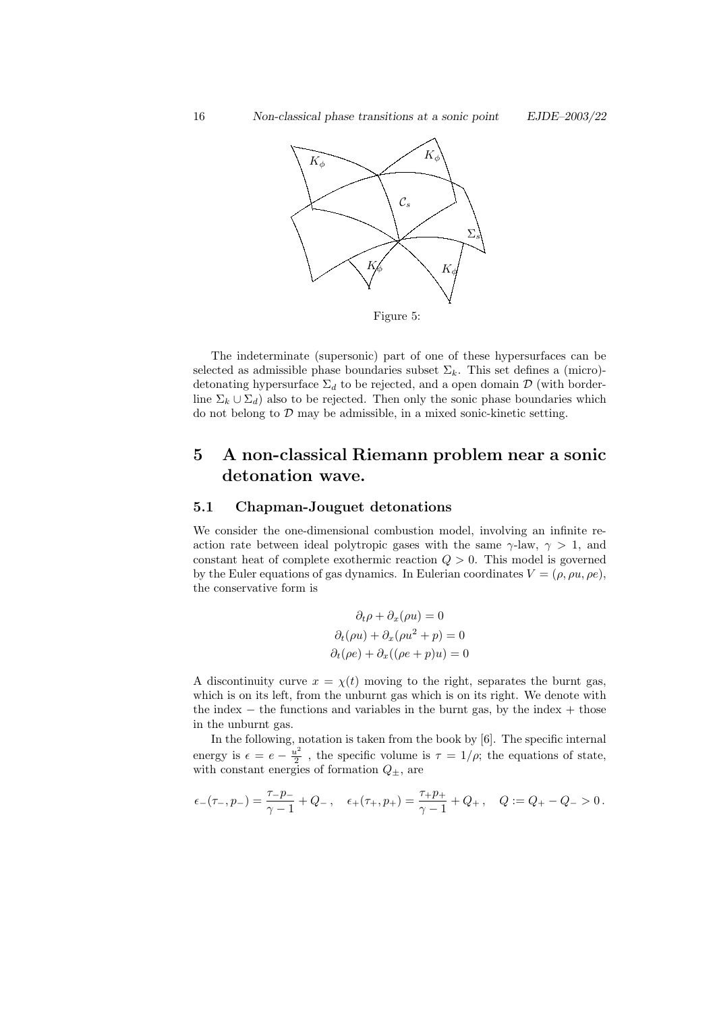

The indeterminate (supersonic) part of one of these hypersurfaces can be selected as admissible phase boundaries subset  $\Sigma_k$ . This set defines a (micro)detonating hypersurface  $\Sigma_d$  to be rejected, and a open domain  $\mathcal D$  (with borderline  $\Sigma_k \cup \Sigma_d$ ) also to be rejected. Then only the sonic phase boundaries which do not belong to  $D$  may be admissible, in a mixed sonic-kinetic setting.

# 5 A non-classical Riemann problem near a sonic detonation wave.

## 5.1 Chapman-Jouguet detonations

We consider the one-dimensional combustion model, involving an infinite reaction rate between ideal polytropic gases with the same  $\gamma$ -law,  $\gamma > 1$ , and constant heat of complete exothermic reaction  $Q > 0$ . This model is governed by the Euler equations of gas dynamics. In Eulerian coordinates  $V = (\rho, \rho u, \rho e)$ , the conservative form is

$$
\partial_t \rho + \partial_x(\rho u) = 0
$$
  

$$
\partial_t(\rho u) + \partial_x(\rho u^2 + p) = 0
$$
  

$$
\partial_t(\rho e) + \partial_x((\rho e + p)u) = 0
$$

A discontinuity curve  $x = \chi(t)$  moving to the right, separates the burnt gas, which is on its left, from the unburnt gas which is on its right. We denote with the index  $-$  the functions and variables in the burnt gas, by the index  $+$  those in the unburnt gas.

In the following, notation is taken from the book by [6]. The specific internal energy is  $\epsilon = e - \frac{u^2}{2}$  $\frac{\mu^2}{2}$ , the specific volume is  $\tau = 1/\rho$ ; the equations of state, with constant energies of formation  $Q_{\pm}$ , are

$$
\epsilon_-(\tau_-,p_-)=\frac{\tau_-p_-}{\gamma-1}+Q_-\,,\quad \epsilon_+(\tau_+,p_+)=\frac{\tau_+p_+}{\gamma-1}+Q_+\,,\quad Q:=Q_+-Q_->0\,.
$$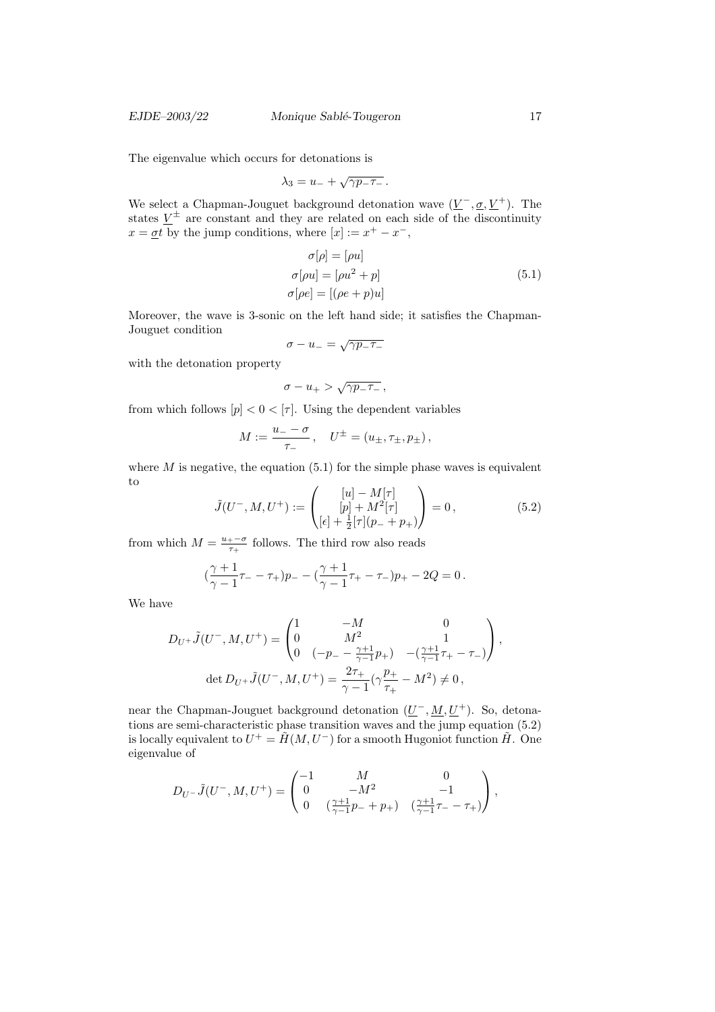The eigenvalue which occurs for detonations is

$$
\lambda_3 = u_- + \sqrt{\gamma p_- \tau_-}.
$$

We select a Chapman-Jouguet background detonation wave  $(\underline{V}^-, \underline{\sigma}, \underline{V}^+)$ . The states  $\underline{V}^{\pm}$  are constant and they are related on each side of the discontinuity  $x = \underline{\sigma}t$  by the jump conditions, where  $[x] := x^+ - x^-$ ,

$$
\sigma[\rho] = [\rho u]
$$
  
\n
$$
\sigma[\rho u] = [\rho u^2 + p]
$$
  
\n
$$
\sigma[\rho e] = [(\rho e + p)u]
$$
\n(5.1)

Moreover, the wave is 3-sonic on the left hand side; it satisfies the Chapman-Jouguet condition √

$$
\sigma - u_- = \sqrt{\gamma p_- \tau_-}
$$

with the detonation property

$$
\sigma-u_+ > \sqrt{\gamma p_- \tau_-} \,,
$$

from which follows  $[p] < 0 < [\tau]$ . Using the dependent variables

$$
M := \frac{u_{-} - \sigma}{\tau_{-}}, \quad U^{\pm} = (u_{\pm}, \tau_{\pm}, p_{\pm}),
$$

where  $M$  is negative, the equation  $(5.1)$  for the simple phase waves is equivalent to

$$
\tilde{J}(U^-, M, U^+) := \begin{pmatrix} [u] - M[\tau] \\ [p] + M^2[\tau] \\ [\epsilon] + \frac{1}{2}[\tau](p_- + p_+) \end{pmatrix} = 0, \tag{5.2}
$$

from which  $M = \frac{u_{+} - \sigma}{\tau}$  $\frac{1-\sigma}{\tau_+}$  follows. The third row also reads

$$
(\frac{\gamma+1}{\gamma-1}\tau_{-}-\tau_{+})p_{-}-(\frac{\gamma+1}{\gamma-1}\tau_{+}-\tau_{-})p_{+}-2Q=0.
$$

We have

$$
D_{U^{+}}\tilde{J}(U^{-},M,U^{+}) = \begin{pmatrix} 1 & -M & 0 \\ 0 & M^{2} & 1 \\ 0 & (-p_{-} - \frac{\gamma + 1}{\gamma - 1}p_{+}) & -(\frac{\gamma + 1}{\gamma - 1}\tau_{+} - \tau_{-}) \end{pmatrix},
$$
  

$$
\det D_{U^{+}}\tilde{J}(U^{-},M,U^{+}) = \frac{2\tau_{+}}{\gamma - 1}(\gamma\frac{p_{+}}{\tau_{+}} - M^{2}) \neq 0,
$$

near the Chapman-Jouguet background detonation  $(\underline{U}^-, \underline{M}, \underline{U}^+)$ . So, detonations are semi-characteristic phase transition waves and the jump equation (5.2) is locally equivalent to  $U^+ = \tilde{H}(M, U^-)$  for a smooth Hugoniot function  $\tilde{H}$ . One eigenvalue of

$$
D_{U^{-}}\tilde{J}(U^{-},M,U^{+}) = \begin{pmatrix} -1 & M & 0 \\ 0 & -M^{2} & -1 \\ 0 & \left(\frac{\gamma+1}{\gamma-1}p_{-}+p_{+}\right) & \left(\frac{\gamma+1}{\gamma-1}\tau_{-}-\tau_{+}\right) \end{pmatrix},
$$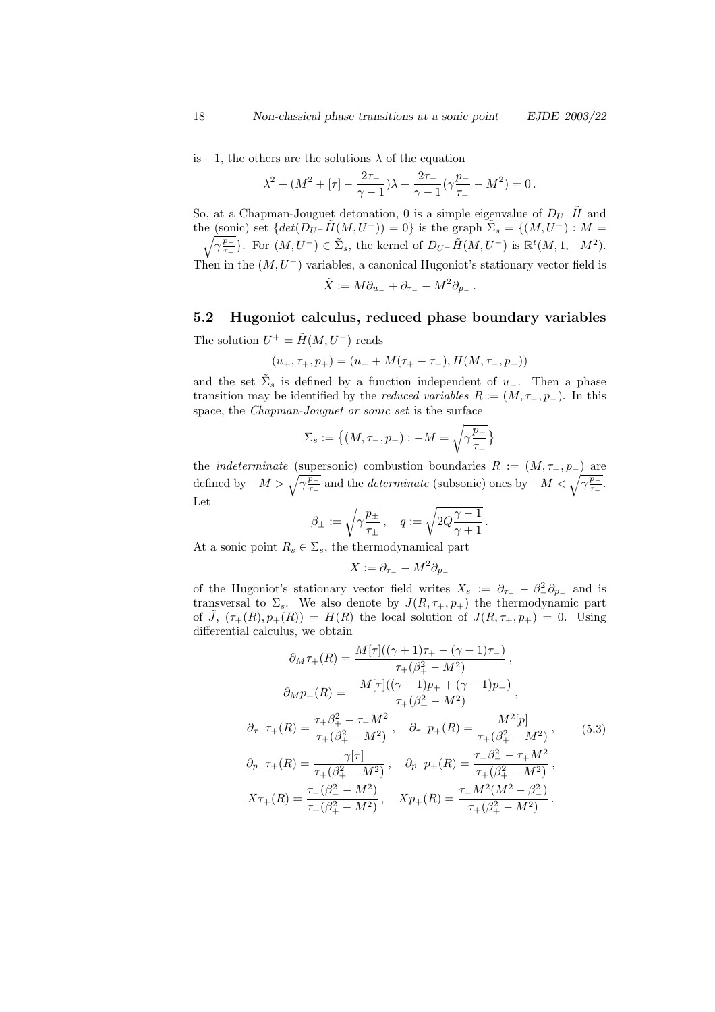is −1, the others are the solutions λ of the equation

$$
\lambda^2 + (M^2 + [\tau] - \frac{2\tau_-}{\gamma - 1})\lambda + \frac{2\tau_-}{\gamma - 1}(\gamma \frac{p_-}{\tau_-} - M^2) = 0.
$$

So, at a Chapman-Jouguet detonation, 0 is a simple eigenvalue of  $D_{U}$ – $\tilde{H}$  and the (sonic) set  $\{det(D_U - \tilde{H}(M, U^-)) = 0\}$  is the graph  $\tilde{\Sigma}_s = \{(M, U^-) : M =$  $-\sqrt{\gamma \frac{p_-}{\tau}}$  $\frac{p_-}{\tau_-}$ }. For  $(M, U^-) \in \tilde{\Sigma}_s$ , the kernel of  $D_{U^-} \tilde{H}(M, U^-)$  is  $\mathbb{R}^t(M, 1, -M^2)$ . Then in the  $(M, U^-)$  variables, a canonical Hugoniot's stationary vector field is

$$
\tilde{X} := M \partial_{u_-} + \partial_{\tau_-} - M^2 \partial_{p_-}.
$$

# 5.2 Hugoniot calculus, reduced phase boundary variables

The solution  $U^+ = \tilde{H}(M, U^-)$  reads

$$
(u_+, \tau_+, p_+) = (u_- + M(\tau_+ - \tau_-), H(M, \tau_-, p_-))
$$

and the set  $\tilde{\Sigma}_s$  is defined by a function independent of  $u_-\$ . Then a phase transition may be identified by the *reduced variables*  $R := (M, \tau_-, p_-)$ . In this space, the Chapman-Jouguet or sonic set is the surface

$$
\Sigma_s := \left\{ (M, \tau_-, p_-) : -M = \sqrt{\gamma \frac{p_-}{\tau_-}} \right\}
$$

the *indeterminate* (supersonic) combustion boundaries  $R := (M, \tau_-, p_-)$  are defined by  $-M > \sqrt{\gamma \frac{p_-}{\tau}}$  $\frac{\overline{p_{-}}}{\tau_{-}}$  and the *determinate* (subsonic) ones by  $-M < \sqrt{\gamma \frac{p_{-}}{\tau_{-}}}$  $rac{p_-}{\tau_-}.$ Let

$$
\beta_{\pm}:=\sqrt{\gamma \frac{p_{\pm}}{\tau_{\pm}}}\,,\quad q:=\sqrt{2Q\frac{\gamma-1}{\gamma+1}}\,.
$$

At a sonic point  $R_s \in \Sigma_s$ , the thermodynamical part

$$
X := \partial_{\tau_-} - M^2 \partial_{p_-}
$$

of the Hugoniot's stationary vector field writes  $X_s := \partial_{\tau_-} - \beta_-^2 \partial_{p_-}$  and is transversal to  $\Sigma_s$ . We also denote by  $J(R, \tau_+, p_+)$  the thermodynamic part of  $\tilde{J}$ ,  $(\tau_+(R), p_+(R)) = H(R)$  the local solution of  $J(R, \tau_+, p_+) = 0$ . Using differential calculus, we obtain

$$
\partial_M \tau_+(R) = \frac{M[\tau]((\gamma+1)\tau_+ - (\gamma-1)\tau_-)}{\tau_+(\beta_+^2 - M^2)},
$$
  
\n
$$
\partial_M p_+(R) = \frac{-M[\tau]((\gamma+1)p_+ + (\gamma-1)p_-)}{\tau_+(\beta_+^2 - M^2)},
$$
  
\n
$$
\partial_{\tau_-} \tau_+(R) = \frac{\tau_+\beta_+^2 - \tau_-M^2}{\tau_+(\beta_+^2 - M^2)}, \quad \partial_{\tau_-} p_+(R) = \frac{M^2[p]}{\tau_+(\beta_+^2 - M^2)},
$$
  
\n
$$
\partial_{p_-} \tau_+(R) = \frac{-\gamma[\tau]}{\tau_+(\beta_+^2 - M^2)}, \quad \partial_{p_-} p_+(R) = \frac{\tau_-\beta_-^2 - \tau_+M^2}{\tau_+(\beta_+^2 - M^2)},
$$
  
\n
$$
X\tau_+(R) = \frac{\tau_-(\beta_-^2 - M^2)}{\tau_+(\beta_+^2 - M^2)}, \quad Xp_+(R) = \frac{\tau_-M^2(M^2 - \beta_-^2)}{\tau_+(\beta_+^2 - M^2)}.
$$
 (5.3)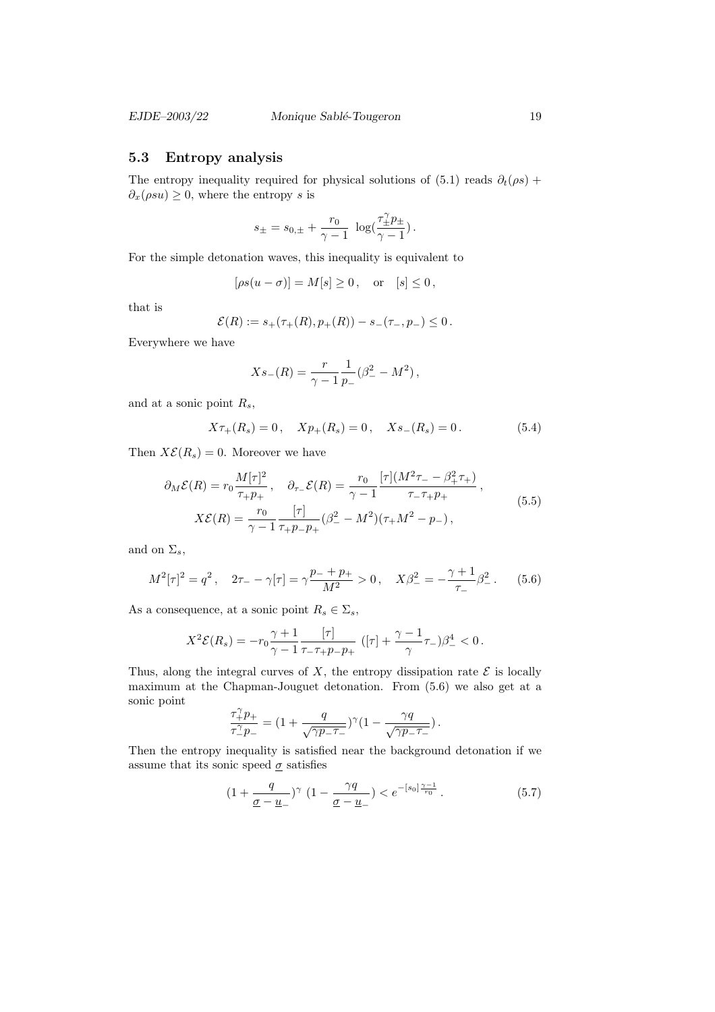## 5.3 Entropy analysis

The entropy inequality required for physical solutions of (5.1) reads  $\partial_t(\rho s)$  +  $\partial_x(\rho s u) \geq 0$ , where the entropy s is

$$
s_{\pm} = s_{0,\pm} + \frac{r_0}{\gamma - 1} \ \log(\frac{\tau_{\pm}^{\gamma} p_{\pm}}{\gamma - 1}).
$$

For the simple detonation waves, this inequality is equivalent to

$$
[\rho s(u - \sigma)] = M[s] \ge 0, \quad \text{or} \quad [s] \le 0,
$$

that is

$$
\mathcal{E}(R) := s_+(\tau_+(R), p_+(R)) - s_-(\tau_-, p_-) \leq 0.
$$

Everywhere we have

$$
Xs_{-}(R) = \frac{r}{\gamma - 1} \frac{1}{p_{-}} (\beta_{-}^{2} - M^{2}),
$$

and at a sonic point  $R_s$ ,

$$
X\tau_+(R_s) = 0
$$
,  $Xp_+(R_s) = 0$ ,  $Xs_-(R_s) = 0$ . (5.4)

Then  $X\mathcal{E}(R_s) = 0$ . Moreover we have

$$
\partial_M \mathcal{E}(R) = r_0 \frac{M[\tau]^2}{\tau_+ p_+}, \quad \partial_{\tau_-} \mathcal{E}(R) = \frac{r_0}{\gamma - 1} \frac{[\tau](M^2 \tau_- - \beta_+^2 \tau_+)}{\tau_- \tau_+ p_+},
$$
  

$$
X \mathcal{E}(R) = \frac{r_0}{\gamma - 1} \frac{[\tau]}{\tau_+ p_- p_+} (\beta_-^2 - M^2)(\tau_+ M^2 - p_-),
$$
 (5.5)

and on  $\Sigma_s$ ,

$$
M^{2}[\tau]^{2} = q^{2}, \quad 2\tau_{-} - \gamma[\tau] = \gamma \frac{p_{-} + p_{+}}{M^{2}} > 0, \quad X\beta_{-}^{2} = -\frac{\gamma + 1}{\tau_{-}}\beta_{-}^{2}.
$$
 (5.6)

As a consequence, at a sonic point  $R_s \in \Sigma_s$ ,

$$
X^{2}\mathcal{E}(R_{s}) = -r_{0}\frac{\gamma+1}{\gamma-1} \frac{[\tau]}{\tau_{-}\tau_{+}p_{-}p_{+}} ([\tau] + \frac{\gamma-1}{\gamma}\tau_{-})\beta_{-}^{4} < 0.
$$

Thus, along the integral curves of  $X$ , the entropy dissipation rate  $\mathcal E$  is locally maximum at the Chapman-Jouguet detonation. From (5.6) we also get at a sonic point

$$
\frac{\tau_+^\gamma p_+}{\tau_-^\gamma p_-} = (1 + \frac{q}{\sqrt{\gamma p_- \tau_-}})^\gamma (1 - \frac{\gamma q}{\sqrt{\gamma p_- \tau_-}}) \, .
$$

Then the entropy inequality is satisfied near the background detonation if we assume that its sonic speed  $\sigma$  satisfies

$$
(1 + \frac{q}{\underline{\sigma} - \underline{u}_{-}})^{\gamma} \ (1 - \frac{\gamma q}{\underline{\sigma} - \underline{u}_{-}}) < e^{-[s_0] \frac{\gamma - 1}{r_0}} \,. \tag{5.7}
$$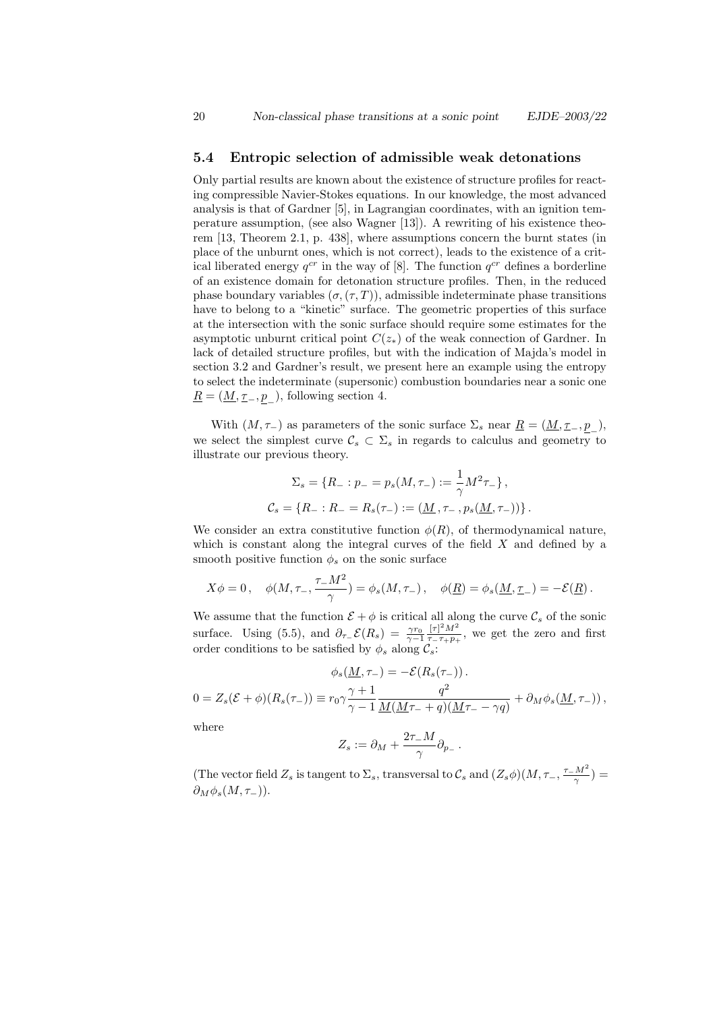#### 5.4 Entropic selection of admissible weak detonations

Only partial results are known about the existence of structure profiles for reacting compressible Navier-Stokes equations. In our knowledge, the most advanced analysis is that of Gardner [5], in Lagrangian coordinates, with an ignition temperature assumption, (see also Wagner [13]). A rewriting of his existence theorem [13, Theorem 2.1, p. 438], where assumptions concern the burnt states (in place of the unburnt ones, which is not correct), leads to the existence of a critical liberated energy  $q^{cr}$  in the way of [8]. The function  $q^{cr}$  defines a borderline of an existence domain for detonation structure profiles. Then, in the reduced phase boundary variables  $(\sigma, (\tau, T))$ , admissible indeterminate phase transitions have to belong to a "kinetic" surface. The geometric properties of this surface at the intersection with the sonic surface should require some estimates for the asymptotic unburnt critical point  $C(z_*)$  of the weak connection of Gardner. In lack of detailed structure profiles, but with the indication of Majda's model in section 3.2 and Gardner's result, we present here an example using the entropy to select the indeterminate (supersonic) combustion boundaries near a sonic one  $\underline{R} = (\underline{M}, \underline{\tau}_{-}, \underline{p}_{-}),$  following section 4.

With  $(M, \tau_{-})$  as parameters of the sonic surface  $\Sigma_{s}$  near  $\underline{R} = (\underline{M}, \underline{\tau}_{-}, \underline{p}_{-}),$ we select the simplest curve  $\mathcal{C}_s \subset \Sigma_s$  in regards to calculus and geometry to illustrate our previous theory.

$$
\Sigma_s = \{ R_- : p_- = p_s(M, \tau_-) := \frac{1}{\gamma} M^2 \tau_- \},
$$
  

$$
\mathcal{C}_s = \{ R_- : R_- = R_s(\tau_-) := (\underline{M}, \tau_-, p_s(\underline{M}, \tau_-)) \}.
$$

We consider an extra constitutive function  $\phi(R)$ , of thermodynamical nature, which is constant along the integral curves of the field  $X$  and defined by a smooth positive function  $\phi_s$  on the sonic surface

$$
X\phi = 0\,, \quad \phi(M, \tau_{-}, \frac{\tau_{-}M^2}{\gamma}) = \phi_s(M, \tau_{-})\,, \quad \phi(\underline{R}) = \phi_s(\underline{M}, \underline{\tau}_{-}) = -\mathcal{E}(\underline{R})\,.
$$

We assume that the function  $\mathcal{E} + \phi$  is critical all along the curve  $\mathcal{C}_s$  of the sonic surface. Using (5.5), and  $\partial_{\tau_-} \mathcal{E}(R_s) = \frac{\gamma r_0}{\gamma - 1}$  $[\tau]^2 M^2$  $\frac{[\tau]_M}{\tau_{-\tau+p_+}}$ , we get the zero and first order conditions to be satisfied by  $\phi_s$  along  $\mathcal{C}_s$ :

$$
\phi_s(\underline{M}, \tau_{-}) = -\mathcal{E}(R_s(\tau_{-})) .
$$
  

$$
0 = Z_s(\mathcal{E} + \phi)(R_s(\tau_{-})) \equiv r_0 \gamma \frac{\gamma + 1}{\gamma - 1} \frac{q^2}{\underline{M}(\underline{M}\tau_{-} + q)(\underline{M}\tau_{-} - \gamma q)} + \partial_M \phi_s(\underline{M}, \tau_{-})),
$$

where

$$
Z_s := \partial_M + \frac{2\tau_- M}{\gamma} \partial_{p_-}.
$$

(The vector field  $Z_s$  is tangent to  $\Sigma_s$ , transversal to  $\mathcal{C}_s$  and  $(Z_s\phi)(M, \tau_{-}, \frac{\tau_{-}M^2}{\gamma}) =$  $\partial_M \phi_s(M, \tau_-)$ ).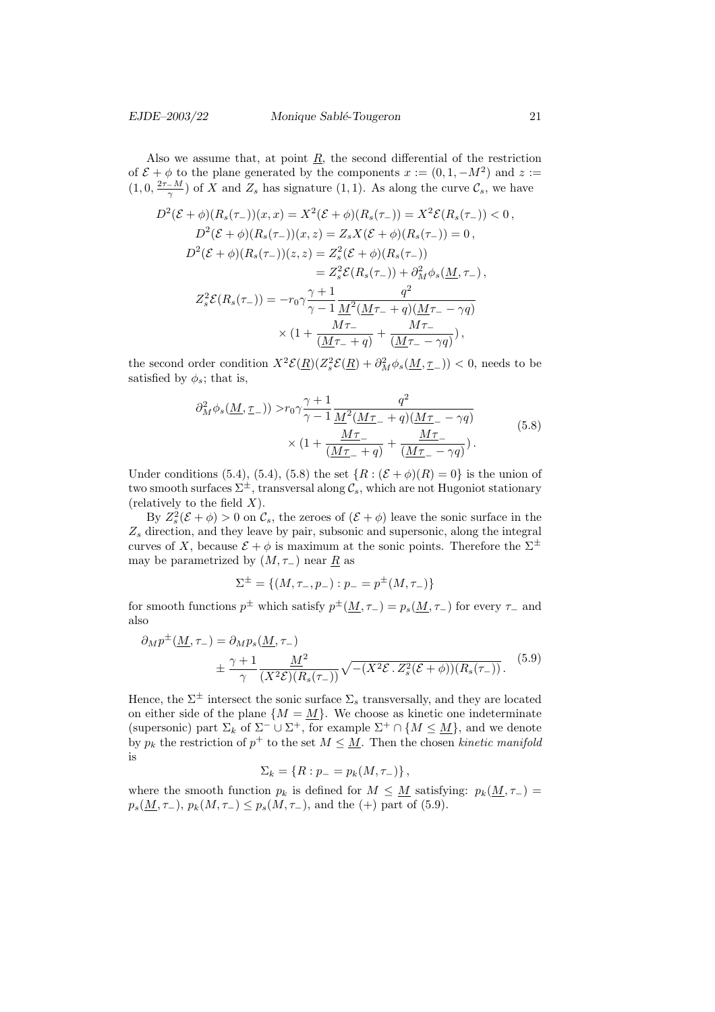Also we assume that, at point  $R$ , the second differential of the restriction of  $\mathcal{E} + \phi$  to the plane generated by the components  $x := (0, 1, -M^2)$  and  $z :=$  $(1,0,\frac{2\tau-M}{\gamma})$  of X and  $Z_s$  has signature  $(1,1)$ . As along the curve  $\mathcal{C}_s$ , we have

$$
D^{2}(\mathcal{E} + \phi)(R_{s}(\tau_{-}))(x, x) = X^{2}(\mathcal{E} + \phi)(R_{s}(\tau_{-})) = X^{2}\mathcal{E}(R_{s}(\tau_{-})) < 0,
$$
  
\n
$$
D^{2}(\mathcal{E} + \phi)(R_{s}(\tau_{-}))(x, z) = Z_{s}X(\mathcal{E} + \phi)(R_{s}(\tau_{-})) = 0,
$$
  
\n
$$
D^{2}(\mathcal{E} + \phi)(R_{s}(\tau_{-}))(z, z) = Z_{s}^{2}(\mathcal{E} + \phi)(R_{s}(\tau_{-}))
$$
  
\n
$$
= Z_{s}^{2}\mathcal{E}(R_{s}(\tau_{-})) + \partial_{M}^{2}\phi_{s}(\underline{M}, \tau_{-}),
$$
  
\n
$$
Z_{s}^{2}\mathcal{E}(R_{s}(\tau_{-})) = -r_{0}\gamma\frac{\gamma + 1}{\gamma - 1}\frac{q^{2}}{\underline{M}^{2}(\underline{M}\tau_{-} + q)(\underline{M}\tau_{-} - \gamma q)}
$$
  
\n
$$
\times (1 + \frac{M\tau_{-}}{(\underline{M}\tau_{-} + q)} + \frac{M\tau_{-}}{(\underline{M}\tau_{-} - \gamma q)}),
$$

the second order condition  $X^2 \mathcal{E}(\underline{R})(Z_s^2 \mathcal{E}(\underline{R}) + \partial_M^2 \phi_s(\underline{M}, \underline{\tau}_-)) < 0$ , needs to be satisfied by  $\phi_s$ ; that is,

$$
\partial_M^2 \phi_s(\underline{M}, \underline{\tau}_-)) > r_0 \gamma \frac{\gamma + 1}{\gamma - 1} \frac{q^2}{\underline{M}^2(\underline{M}\underline{\tau}_- + q)(\underline{M}\underline{\tau}_- - \gamma q)} \times (1 + \frac{\underline{M}\underline{\tau}_-}{(\underline{M}\underline{\tau}_- + q)} + \frac{\underline{M}\underline{\tau}_-}{(\underline{M}\underline{\tau}_- - \gamma q)}).
$$
(5.8)

Under conditions (5.4), (5.4), (5.8) the set  $\{R : (\mathcal{E} + \phi)(R) = 0\}$  is the union of two smooth surfaces  $\Sigma^{\pm}$ , transversal along  $\mathcal{C}_s$ , which are not Hugoniot stationary (relatively to the field  $X$ ).

By  $Z_s^2(\mathcal{E} + \phi) > 0$  on  $\mathcal{C}_s$ , the zeroes of  $(\mathcal{E} + \phi)$  leave the sonic surface in the  $Z_s$  direction, and they leave by pair, subsonic and supersonic, along the integral curves of X, because  $\mathcal{E} + \phi$  is maximum at the sonic points. Therefore the  $\Sigma^{\pm}$ may be parametrized by  $(M, \tau_{-})$  near R as

$$
\Sigma^{\pm} = \{ (M, \tau_-, p_-) : p_- = p^{\pm}(M, \tau_-) \}
$$

for smooth functions  $p^{\pm}$  which satisfy  $p^{\pm}(\underline{M}, \tau_{-}) = p_s(\underline{M}, \tau_{-})$  for every  $\tau_{-}$  and also

$$
\partial_M p^{\pm}(\underline{M}, \tau_{-}) = \partial_M p_s(\underline{M}, \tau_{-})
$$
  

$$
\pm \frac{\gamma + 1}{\gamma} \frac{\underline{M}^2}{(X^2 \mathcal{E})(R_s(\tau_{-}))} \sqrt{-(X^2 \mathcal{E} \cdot Z_s^2 (\mathcal{E} + \phi))(R_s(\tau_{-}))}.
$$
 (5.9)

Hence, the  $\Sigma^{\pm}$  intersect the sonic surface  $\Sigma_s$  transversally, and they are located on either side of the plane  $\{M = \underline{M}\}\.$  We choose as kinetic one indeterminate (supersonic) part  $\Sigma_k$  of  $\Sigma^- \cup \Sigma^+$ , for example  $\Sigma^+ \cap \{M \leq \underline{M}\}$ , and we denote by  $p_k$  the restriction of  $p^+$  to the set  $M \leq \underline{M}$ . Then the chosen kinetic manifold is

$$
\Sigma_k = \{ R : p_- = p_k(M, \tau_-) \},
$$

where the smooth function  $p_k$  is defined for  $M \leq M$  satisfying:  $p_k(M, \tau)$  =  $p_s(\underline{M}, \tau_-), p_k(M, \tau_-) \leq p_s(M, \tau_-),$  and the (+) part of (5.9).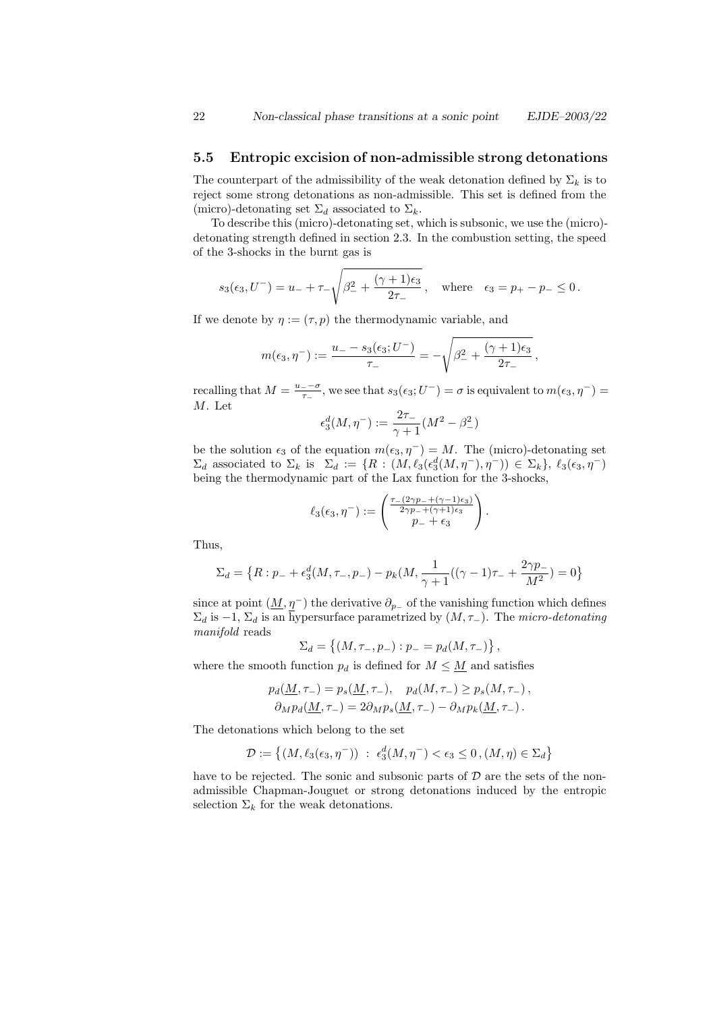### 5.5 Entropic excision of non-admissible strong detonations

The counterpart of the admissibility of the weak detonation defined by  $\Sigma_k$  is to reject some strong detonations as non-admissible. This set is defined from the (micro)-detonating set  $\Sigma_d$  associated to  $\Sigma_k$ .

To describe this (micro)-detonating set, which is subsonic, we use the (micro) detonating strength defined in section 2.3. In the combustion setting, the speed of the 3-shocks in the burnt gas is

$$
s_3(\epsilon_3, U^{-}) = u_- + \tau_- \sqrt{\beta_-^2 + \frac{(\gamma + 1)\epsilon_3}{2\tau_-}}, \text{ where } \epsilon_3 = p_+ - p_- \le 0.
$$

If we denote by  $\eta := (\tau, p)$  the thermodynamic variable, and

$$
m(\epsilon_3, \eta^-) := \frac{u_- - s_3(\epsilon_3; U^-)}{\tau_-} = -\sqrt{\beta_-^2 + \frac{(\gamma + 1)\epsilon_3}{2\tau_-}},
$$

recalling that  $M = \frac{u_- - \sigma}{\tau}$  $\frac{1}{\tau_-}$ , we see that  $s_3(\epsilon_3; U^-) = \sigma$  is equivalent to  $m(\epsilon_3, \eta^-) =$ M. Let

$$
\epsilon_3^d(M,\eta^-):=\frac{2\tau_-}{\gamma+1}(M^2-\beta_-^2)
$$

be the solution  $\epsilon_3$  of the equation  $m(\epsilon_3, \eta^-) = M$ . The (micro)-detonating set  $\Sigma_d$  associated to  $\Sigma_k$  is  $\Sigma_d := \{ R : (M, \ell_3(\epsilon_3^d(M, \eta^-), \eta^-)) \in \Sigma_k \}, \ell_3(\epsilon_3, \eta^-)$ being the thermodynamic part of the Lax function for the 3-shocks,

$$
\ell_3(\epsilon_3, \eta^-) := \begin{pmatrix} \frac{\tau_-(2\gamma p_- + (\gamma - 1)\epsilon_3)}{2\gamma p_- + (\gamma + 1)\epsilon_3} \\ p_- + \epsilon_3 \end{pmatrix}.
$$

Thus,

$$
\Sigma_d = \left\{ R : p_- + \epsilon_3^d(M, \tau_-, p_-) - p_k(M, \frac{1}{\gamma + 1}((\gamma - 1)\tau_- + \frac{2\gamma p_-}{M^2}) = 0 \right\}
$$

since at point  $(\underline{M}, \eta^-)$  the derivative  $\partial_{p_-}$  of the vanishing function which defines  $\Sigma_d$  is -1,  $\Sigma_d$  is an hypersurface parametrized by  $(M, \tau)$ . The micro-detonating manifold reads

$$
\Sigma_d = \{(M, \tau_-, p_-) : p_- = p_d(M, \tau_-)\},
$$

where the smooth function  $p_d$  is defined for  $M \leq \underline{M}$  and satisfies

$$
p_d(\underline{M}, \tau_{-}) = p_s(\underline{M}, \tau_{-}), \quad p_d(M, \tau_{-}) \ge p_s(M, \tau_{-}),
$$
  

$$
\partial_M p_d(\underline{M}, \tau_{-}) = 2\partial_M p_s(\underline{M}, \tau_{-}) - \partial_M p_k(\underline{M}, \tau_{-}).
$$

The detonations which belong to the set

$$
\mathcal{D}:=\left\{(M,\ell_3(\epsilon_3,\eta^-))\ :\ \epsilon_3^d(M,\eta^-)<\epsilon_3\leq 0\,, (M,\eta)\in\Sigma_d\right\}
$$

have to be rejected. The sonic and subsonic parts of  $D$  are the sets of the nonadmissible Chapman-Jouguet or strong detonations induced by the entropic selection  $\Sigma_k$  for the weak detonations.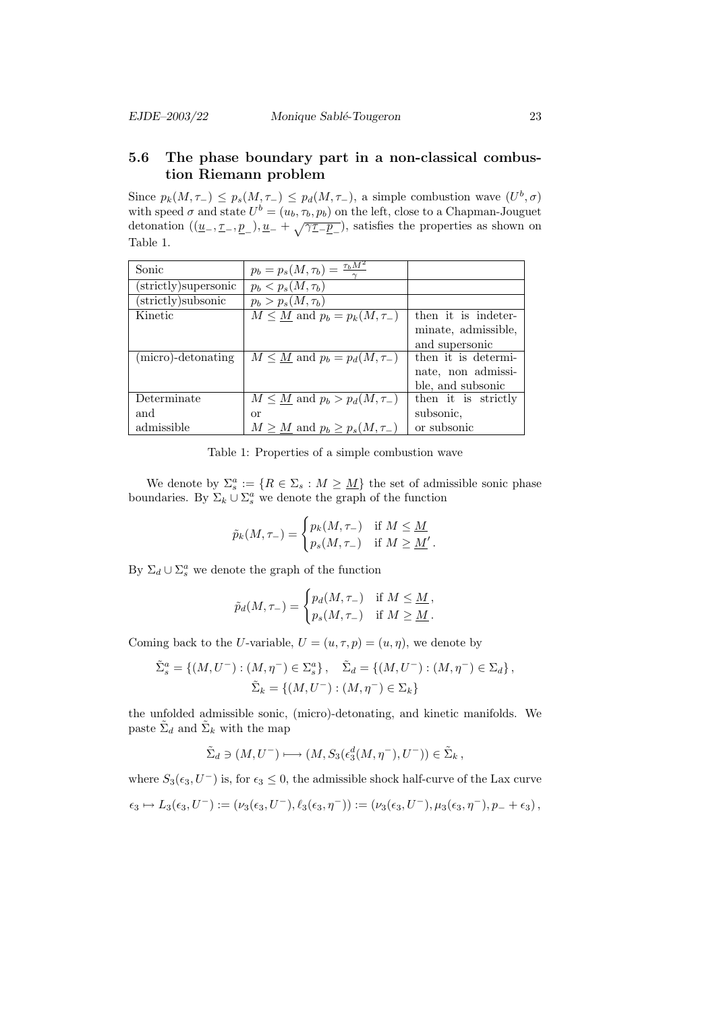# 5.6 The phase boundary part in a non-classical combustion Riemann problem

Since  $p_k(M, \tau) \leq p_s(M, \tau) \leq p_d(M, \tau)$ , a simple combustion wave  $(U^b, \sigma)$ with speed  $\sigma$  and state  $U^b = (u_b, \tau_b, p_b)$  on the left, close to a Chapman-Jouguet detonation  $((\underline{u}_-, \underline{\tau}_-, \underline{p}_-), \underline{u}_- + \sqrt{\gamma \underline{\tau}_-\underline{p}_-})$ , satisfies the properties as shown on Table 1.

| Sonic                | $p_b = p_s(M, \tau_b) = \frac{\tau_b M^2}{\tau_b}$ |                     |
|----------------------|----------------------------------------------------|---------------------|
| (strictly)supersonic | $p_b < p_s(M, \tau_b)$                             |                     |
| (strictly)subsonic   | $p_b > p_s(M, \tau_b)$                             |                     |
| Kinetic              | $M \leq \underline{M}$ and $p_b = p_k(M, \tau)$    | then it is indeter- |
|                      |                                                    | minate, admissible, |
|                      |                                                    | and supersonic      |
| (micro)-detonating   | $M \leq \underline{M}$ and $p_b = p_d(M, \tau)$    | then it is determi- |
|                      |                                                    | nate, non admissi-  |
|                      |                                                    | ble, and subsonic   |
| Determinate          | $M \leq \underline{M}$ and $p_b > p_d(M, \tau)$    | then it is strictly |
| and                  | or                                                 | subsonic,           |
| admissible           | $M \geq \underline{M}$ and $p_b \geq p_s(M, \tau)$ | or subsonic         |

Table 1: Properties of a simple combustion wave

We denote by  $\Sigma_s^a := \{ R \in \Sigma_s : M \geq \underline{M} \}$  the set of admissible sonic phase boundaries. By  $\Sigma_k \cup \Sigma_s^a$  we denote the graph of the function

$$
\tilde{p}_k(M, \tau_{-}) = \begin{cases} p_k(M, \tau_{-}) & \text{if } M \leq \underline{M} \\ p_s(M, \tau_{-}) & \text{if } M \geq \underline{M}' \end{cases}.
$$

By  $\Sigma_d \cup \Sigma_s^a$  we denote the graph of the function

$$
\tilde{p}_d(M, \tau_{-}) = \begin{cases} p_d(M, \tau_{-}) & \text{if } M \leq \underline{M} \\ p_s(M, \tau_{-}) & \text{if } M \geq \underline{M} \end{cases}
$$

Coming back to the U-variable,  $U = (u, \tau, p) = (u, \eta)$ , we denote by

$$
\tilde{\Sigma}_s^a = \{ (M, U^-) : (M, \eta^-) \in \Sigma_s^a \}, \quad \tilde{\Sigma}_d = \{ (M, U^-) : (M, \eta^-) \in \Sigma_d \}, \n\tilde{\Sigma}_k = \{ (M, U^-) : (M, \eta^-) \in \Sigma_k \}
$$

the unfolded admissible sonic, (micro)-detonating, and kinetic manifolds. We paste  $\tilde{\Sigma}_d$  and  $\tilde{\Sigma}_k$  with the map

$$
\tilde{\Sigma}_d \ni (M, U^-) \longmapsto (M, S_3(\epsilon_3^d(M, \eta^-), U^-)) \in \tilde{\Sigma}_k ,
$$

where  $S_3(\epsilon_3, U^-)$  is, for  $\epsilon_3 \leq 0$ , the admissible shock half-curve of the Lax curve

$$
\epsilon_3 \mapsto L_3(\epsilon_3, U^-) := (\nu_3(\epsilon_3, U^-), \ell_3(\epsilon_3, \eta^-)) := (\nu_3(\epsilon_3, U^-), \mu_3(\epsilon_3, \eta^-), p_- + \epsilon_3)\,,
$$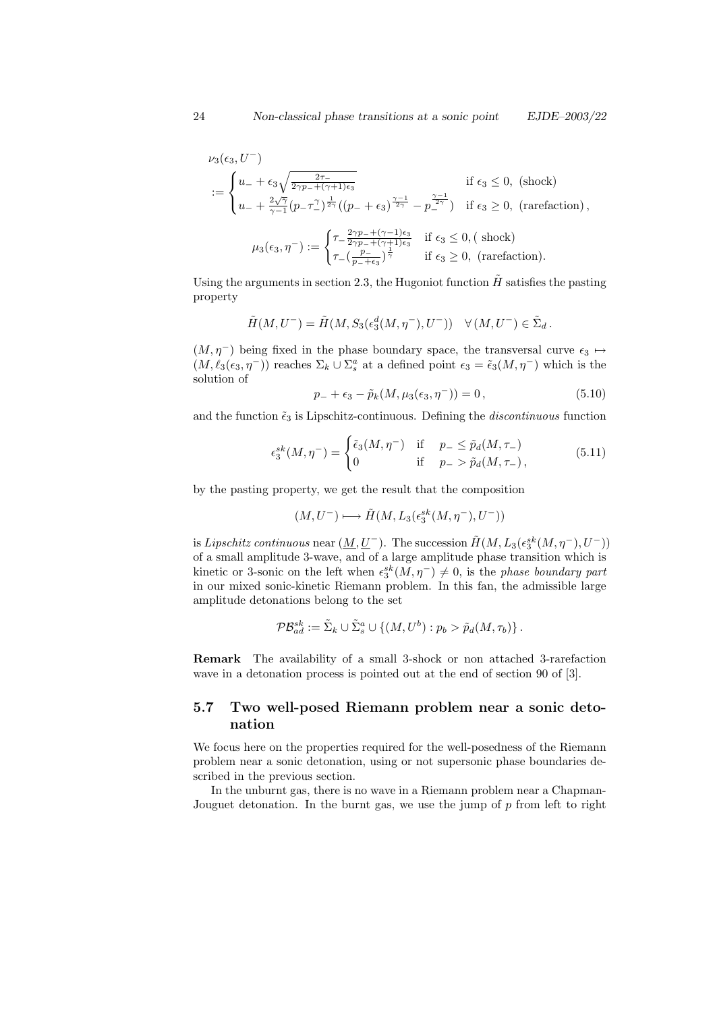$$
\nu_3(\epsilon_3, U^-)
$$
\n
$$
:= \begin{cases}\nu_- + \epsilon_3 \sqrt{\frac{2\tau_-}{2\gamma p_- + (\gamma + 1)\epsilon_3}} & \text{if } \epsilon_3 \le 0, \text{ (shock)} \\
u_- + \frac{2\sqrt{\gamma}}{\gamma - 1} (p_- \tau_-^2)^{\frac{1}{2\gamma}} ((p_- + \epsilon_3)^{\frac{\gamma - 1}{2\gamma}} - p_-^{\frac{\gamma - 1}{2\gamma}}) & \text{if } \epsilon_3 \ge 0, \text{ (rarefaction)}, \\
\mu_3(\epsilon_3, \eta^-) := \begin{cases}\tau_- \frac{2\gamma p_- + (\gamma - 1)\epsilon_3}{2\gamma p_- + (\gamma + 1)\epsilon_3} & \text{if } \epsilon_3 \le 0, \text{ (shock)} \\
\tau_- \left(\frac{p_-}{p_- + \epsilon_3}\right)^{\frac{1}{\gamma}} & \text{if } \epsilon_3 \ge 0, \text{ (rarefaction)}.\n\end{cases}
$$

Using the arguments in section 2.3, the Hugoniot function  $\tilde{H}$  satisfies the pasting property

$$
\tilde{H}(M, U^-) = \tilde{H}(M, S_3(\epsilon_3^d(M, \eta^-), U^-)) \quad \forall (M, U^-) \in \tilde{\Sigma}_d.
$$

 $(M, \eta^-)$  being fixed in the phase boundary space, the transversal curve  $\epsilon_3 \mapsto$  $(M, \ell_3(\epsilon_3, \eta^-))$  reaches  $\Sigma_k \cup \Sigma_s^a$  at a defined point  $\epsilon_3 = \tilde{\epsilon}_3(M, \eta^-)$  which is the solution of

$$
p_- + \epsilon_3 - \tilde{p}_k(M, \mu_3(\epsilon_3, \eta^-)) = 0, \qquad (5.10)
$$

and the function  $\tilde{\epsilon}_3$  is Lipschitz-continuous. Defining the *discontinuous* function

$$
\epsilon_3^{sk}(M, \eta^-) = \begin{cases} \tilde{\epsilon}_3(M, \eta^-) & \text{if } p_- \le \tilde{p}_d(M, \tau_-) \\ 0 & \text{if } p_- > \tilde{p}_d(M, \tau_-) \end{cases} \tag{5.11}
$$

by the pasting property, we get the result that the composition

$$
(M,U^-) \longmapsto \tilde{H}(M,L_3(\epsilon_3^{sk}(M,\eta^-),U^-))
$$

is Lipschitz continuous near  $(\underline{M}, \underline{U}^-)$ . The succession  $\tilde{H}(M, L_3(\epsilon_3^{sk}(M, \eta^-), U^-))$ of a small amplitude 3-wave, and of a large amplitude phase transition which is kinetic or 3-sonic on the left when  $\epsilon_3^{sk}(M, \eta^-) \neq 0$ , is the phase boundary part in our mixed sonic-kinetic Riemann problem. In this fan, the admissible large amplitude detonations belong to the set

$$
\mathcal{PB}_{ad}^{sk} := \tilde{\Sigma}_k \cup \tilde{\Sigma}_s^a \cup \{(M, U^b) : p_b > \tilde{p}_d(M, \tau_b)\}.
$$

Remark The availability of a small 3-shock or non attached 3-rarefaction wave in a detonation process is pointed out at the end of section 90 of [3].

# 5.7 Two well-posed Riemann problem near a sonic detonation

We focus here on the properties required for the well-posedness of the Riemann problem near a sonic detonation, using or not supersonic phase boundaries described in the previous section.

In the unburnt gas, there is no wave in a Riemann problem near a Chapman-Jouguet detonation. In the burnt gas, we use the jump of  $p$  from left to right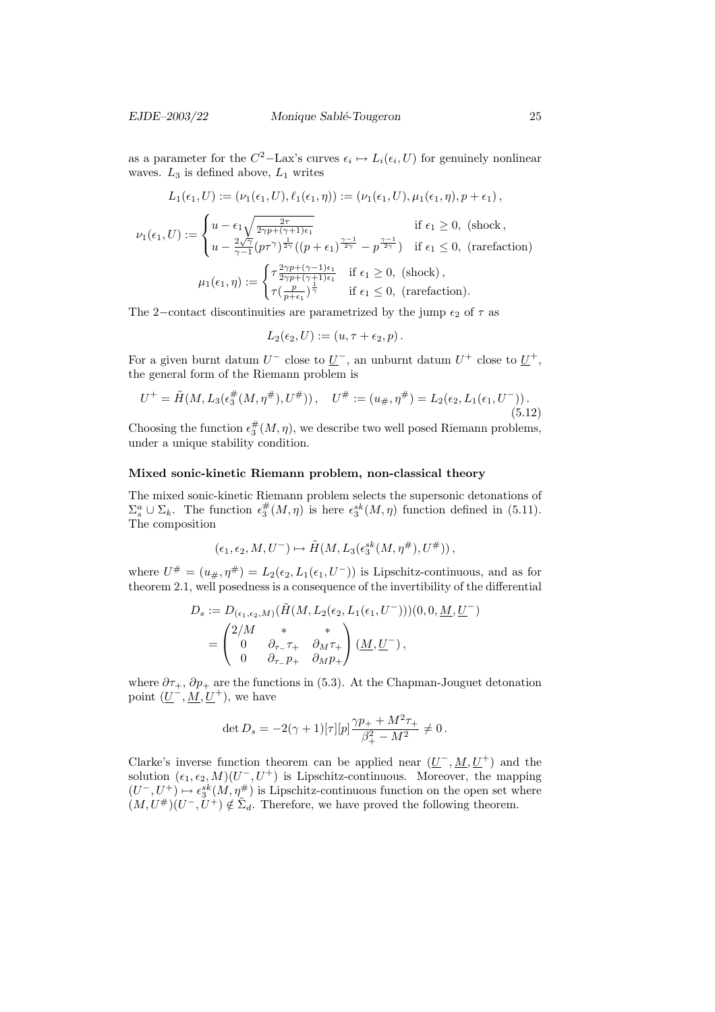as a parameter for the  $C^2$ -Lax's curves  $\epsilon_i \mapsto L_i(\epsilon_i, U)$  for genuinely nonlinear waves.  $L_3$  is defined above,  $L_1$  writes

$$
L_1(\epsilon_1, U) := (\nu_1(\epsilon_1, U), \ell_1(\epsilon_1, \eta)) := (\nu_1(\epsilon_1, U), \mu_1(\epsilon_1, \eta), p + \epsilon_1),
$$
  

$$
\nu_1(\epsilon_1, U) := \begin{cases} u - \epsilon_1 \sqrt{\frac{2\tau}{2\gamma p + (\gamma + 1)\epsilon_1}} & \text{if } \epsilon_1 \ge 0, \text{ (shock, } \\ u - \frac{2\sqrt{\gamma}}{\gamma - 1} (p\tau^{\gamma})^{\frac{1}{2\gamma}} ((p + \epsilon_1)^{\frac{\gamma - 1}{2\gamma}} - p^{\frac{\gamma - 1}{2\gamma}}) & \text{if } \epsilon_1 \le 0, \text{ (rarefaction)} \end{cases}
$$
  

$$
(\tau^{\frac{2\gamma p + (\gamma - 1)\epsilon_1}{2\gamma p + (\gamma - 1)\epsilon_1}} \text{ if } \epsilon_1 > 0 \text{ (shock.)}
$$

$$
\mu_1(\epsilon_1, \eta) := \begin{cases} \tau \frac{2\gamma p + (\gamma - 1)\epsilon_1}{2\gamma p + (\gamma + 1)\epsilon_1} & \text{if } \epsilon_1 \ge 0, \text{ (shock)},\\ \tau(\frac{p}{p + \epsilon_1})^{\frac{1}{\gamma}} & \text{if } \epsilon_1 \le 0, \text{ (rarefaction)}. \end{cases}
$$

The 2–contact discontinuities are parametrized by the jump  $\epsilon_2$  of  $\tau$  as

$$
L_2(\epsilon_2, U) := (u, \tau + \epsilon_2, p).
$$

For a given burnt datum  $U^-$  close to  $\underline{U}^-$ , an unburnt datum  $U^+$  close to  $\underline{U}^+$ , the general form of the Riemann problem is

$$
U^+ = \tilde{H}(M, L_3(\epsilon_3^{\#}(M, \eta^{\#}), U^{\#})), \quad U^{\#} := (u_{\#}, \eta^{\#}) = L_2(\epsilon_2, L_1(\epsilon_1, U^-)).
$$
\n(5.12)

Choosing the function  $\epsilon_3^{\#}(M, \eta)$ , we describe two well posed Riemann problems, under a unique stability condition.

#### Mixed sonic-kinetic Riemann problem, non-classical theory

The mixed sonic-kinetic Riemann problem selects the supersonic detonations of  $\Sigma_s^a \cup \Sigma_k$ . The function  $\epsilon_3^{\#}(M,\eta)$  is here  $\epsilon_3^{sk}(M,\eta)$  function defined in (5.11). The composition

$$
(\epsilon_1,\epsilon_2,M,U^-)\mapsto \tilde{H}(M,L_3(\epsilon_3^{sk}(M,\eta^{\#}),U^{\#}))\,,
$$

where  $U^{\#} = (u_{\#}, \eta^{\#}) = L_2(\epsilon_2, L_1(\epsilon_1, U^-))$  is Lipschitz-continuous, and as for theorem 2.1, well posedness is a consequence of the invertibility of the differential

$$
D_s := D_{(\epsilon_1,\epsilon_2,M)}(\tilde{H}(M,L_2(\epsilon_2,L_1(\epsilon_1,U^-)))(0,0,\underline{M},\underline{U}^-)
$$
  
= 
$$
\begin{pmatrix} 2/M & * & * \\ 0 & \partial_{\tau_-}\tau_+ & \partial_M\tau_+ \\ 0 & \partial_{\tau_-}p_+ & \partial_Mp_+ \end{pmatrix} (\underline{M},\underline{U}^-),
$$

where  $\partial \tau_+$ ,  $\partial p_+$  are the functions in (5.3). At the Chapman-Jouguet detonation point  $(\underline{U}^-, \underline{M}, \underline{U}^+)$ , we have

$$
\det D_s = -2(\gamma+1)[\tau][p]\frac{\gamma p_+ + M^2 \tau_+}{\beta_+^2 - M^2} \neq 0\,.
$$

Clarke's inverse function theorem can be applied near  $(\underline{U}^-, \underline{M}, \underline{U}^+)$  and the solution  $(\epsilon_1, \epsilon_2, M)(U^-, U^+)$  is Lipschitz-continuous. Moreover, the mapping  $(U^-, U^+) \mapsto \epsilon_3^{sk}(M, \eta^{\#})$  is Lipschitz-continuous function on the open set where  $(M, U^{\#})(U^-, U^+) \notin \tilde{\Sigma}_d$ . Therefore, we have proved the following theorem.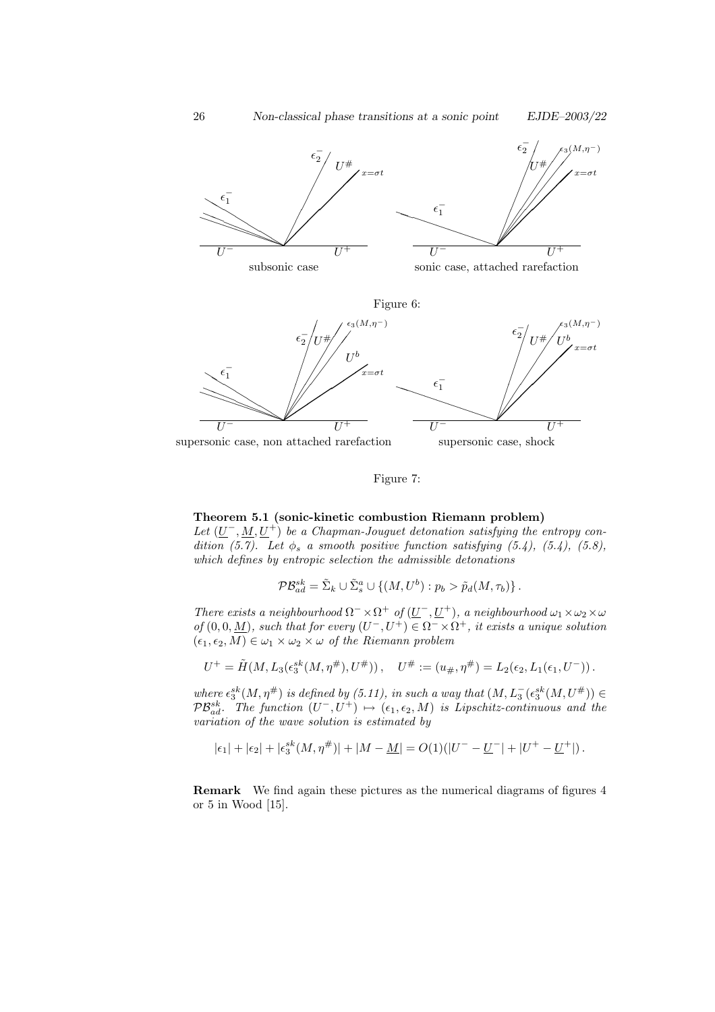



Figure 7:

# Theorem 5.1 (sonic-kinetic combustion Riemann problem)

Let  $(\underline{U}^-, \underline{M}, \underline{U}^+)$  be a Chapman-Jouguet detonation satisfying the entropy condition (5.7). Let  $\phi_s$  a smooth positive function satisfying (5.4), (5.4), (5.8), which defines by entropic selection the admissible detonations

 $\mathcal{PB}_{ad}^{sk} = \tilde{\Sigma}_k \cup \tilde{\Sigma}_s^a \cup \{(M, U^b) : p_b > \tilde{p}_d(M, \tau_b)\}.$ 

There exists a neighbourhood  $\Omega^- \times \Omega^+$  of  $(\underline{U}^-, \underline{U}^+)$ , a neighbourhood  $\omega_1 \times \omega_2 \times \omega$ of  $(0, 0, \underline{M})$ , such that for every  $(U^-, U^+) \in \Omega^- \times \Omega^+$ , it exists a unique solution  $(\epsilon_1, \epsilon_2, M) \in \omega_1 \times \omega_2 \times \omega$  of the Riemann problem

$$
U^+ = \tilde{H}(M, L_3(\epsilon_3^{sk}(M, \eta^{\#}), U^{\#})), \quad U^{\#} := (u_{\#}, \eta^{\#}) = L_2(\epsilon_2, L_1(\epsilon_1, U^-)).
$$

where  $\epsilon_3^{sk}(M, \eta^{\#})$  is defined by (5.11), in such a way that  $(M, L_3^-(\epsilon_3^{sk}(M, U^{\#})) \in$  $\mathcal{PB}_{ad}^{sk}$ . The function  $(U^-, U^+) \mapsto (\epsilon_1, \epsilon_2, M)$  is Lipschitz-continuous and the variation of the wave solution is estimated by

$$
\vert\epsilon_1\vert+\vert\epsilon_2\vert+\vert\epsilon_3^{sk}(M,\eta^\#)\vert+\vert M-\underline{M}\vert=O(1)(\vert U^--\underline{U}^-\vert+\vert U^+-\underline{U}^+\vert)\,.
$$

Remark We find again these pictures as the numerical diagrams of figures 4 or  $5$  in Wood  $|15|$ .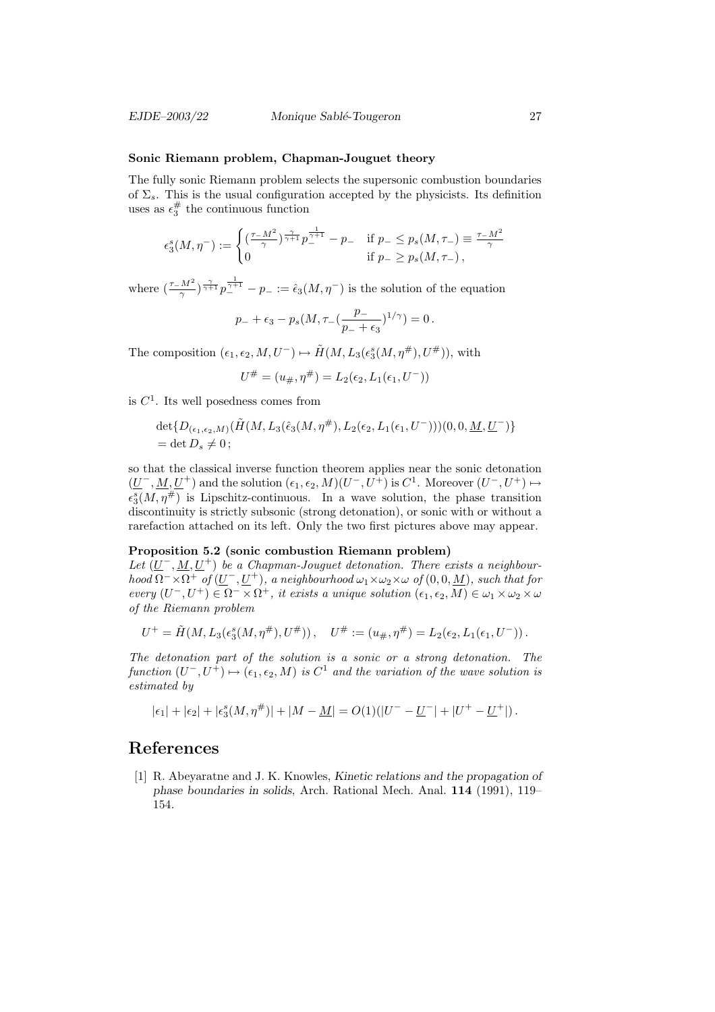#### Sonic Riemann problem, Chapman-Jouguet theory

The fully sonic Riemann problem selects the supersonic combustion boundaries of  $\Sigma_s$ . This is the usual configuration accepted by the physicists. Its definition uses as  $\epsilon_3^{\#}$  the continuous function

$$
\epsilon_3^s(M,\eta^-) := \begin{cases} \left(\frac{\tau - M^2}{\gamma}\right)^{\frac{\gamma}{\gamma + 1}} p_{-}^{\frac{1}{\gamma + 1}} - p_{-} & \text{if } p_{-} \le p_s(M,\tau_{-}) \equiv \frac{\tau - M^2}{\gamma} \\ 0 & \text{if } p_{-} \ge p_s(M,\tau_{-}) \end{cases}
$$

where  $\left(\frac{\tau-M^2}{\gamma}\right)^{\frac{\gamma}{\gamma+1}}p_{-}^{\frac{1}{\gamma+1}}-p_{-}:=\hat{\epsilon}_3(M,\eta^{-})$  is the solution of the equation

$$
p_- + \epsilon_3 - p_s(M, \tau_-(\frac{p_-}{p_- + \epsilon_3})^{1/\gamma}) = 0.
$$

The composition  $(\epsilon_1, \epsilon_2, M, U^{-}) \mapsto \tilde{H}(M, L_3(\epsilon_3^{s}(M, \eta^{\#}), U^{\#}))$ , with

$$
U^{\#} = (u_{\#}, \eta^{\#}) = L_2(\epsilon_2, L_1(\epsilon_1, U^-))
$$

is  $C<sup>1</sup>$ . Its well posedness comes from

$$
\det\{D_{(\epsilon_1,\epsilon_2,M)}(\tilde{H}(M,L_3(\hat{\epsilon}_3(M,\eta^{\#}),L_2(\epsilon_2,L_1(\epsilon_1,U^-)))(0,0,\underline{M},\underline{U}^-)\}\
$$
  
= det  $D_s \neq 0$ ;

so that the classical inverse function theorem applies near the sonic detonation  $(\underline{U}^-, \underline{M}, \underline{U}^+)$  and the solution  $(\epsilon_1, \epsilon_2, M)(U^-, U^+)$  is  $C^1$ . Moreover  $(U^-, U^+) \mapsto$  $\epsilon_3^s(M, \eta^{\#})$  is Lipschitz-continuous. In a wave solution, the phase transition discontinuity is strictly subsonic (strong detonation), or sonic with or without a rarefaction attached on its left. Only the two first pictures above may appear.

#### Proposition 5.2 (sonic combustion Riemann problem)

Let  $(\underline{U}^-, \underline{M}, \underline{U}^+)$  be a Chapman-Jouguet detonation. There exists a neighbourhood  $\Omega^- \times \Omega^+$  of  $(\underline{U}^-, \underline{U}^+)$ , a neighbourhood  $\omega_1 \times \omega_2 \times \omega$  of  $(0, 0, \underline{M})$ , such that for every  $(U^-, U^+) \in \Omega^- \times \Omega^+$ , it exists a unique solution  $(\epsilon_1, \epsilon_2, M) \in \omega_1 \times \omega_2 \times \omega$ of the Riemann problem

$$
U^+ = \tilde{H}(M, L_3(\epsilon_3^s(M, \eta^\#), U^\#)), \quad U^\# := (u_\#, \eta^\#) = L_2(\epsilon_2, L_1(\epsilon_1, U^-)).
$$

The detonation part of the solution is a sonic or a strong detonation. The function  $(U^-, U^+) \mapsto (\epsilon_1, \epsilon_2, M)$  is  $C^1$  and the variation of the wave solution is estimated by

$$
|\epsilon_1| + |\epsilon_2| + |\epsilon_3^s(M,\eta^{\#})| + |M - \underline{M}| = O(1)(|U^- - \underline{U}^-| + |U^+ - \underline{U}^+|).
$$

# References

[1] R. Abeyaratne and J. K. Knowles, Kinetic relations and the propagation of phase boundaries in solids, Arch. Rational Mech. Anal. 114 (1991), 119– 154.